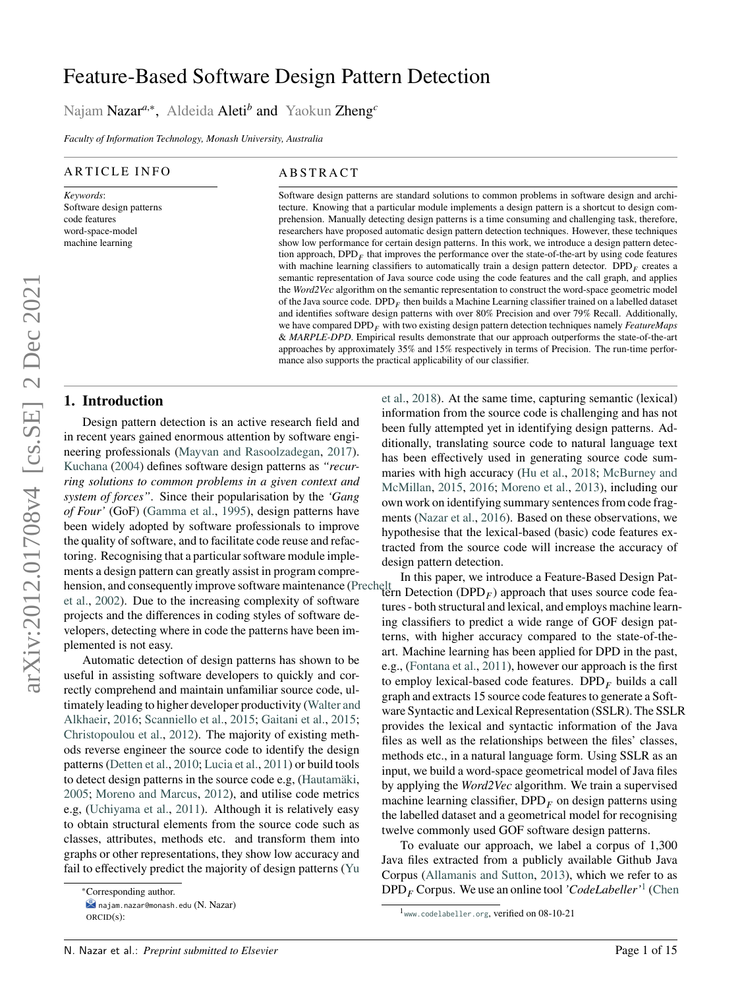# Feature-Based Software Design Pattern Detection

Najam Nazar*<sup>a</sup>*,<sup>∗</sup> , Aldeida Aleti*<sup>b</sup>* and Yaokun Zheng*<sup>c</sup>*

*Faculty of Information Technology, Monash University, Australia*

#### ARTICLE INFO

*Keywords*: Software design patterns code features word-space-model machine learning

#### **ABSTRACT**

Software design patterns are standard solutions to common problems in software design and architecture. Knowing that a particular module implements a design pattern is a shortcut to design comprehension. Manually detecting design patterns is a time consuming and challenging task, therefore, researchers have proposed automatic design pattern detection techniques. However, these techniques show low performance for certain design patterns. In this work, we introduce a design pattern detection approach, DPD<sub>*F*</sub> that improves the performance over the state-of-the-art by using code features with machine learning classifiers to automatically train a design pattern detector.  $DPD<sub>F</sub>$  creates a semantic representation of Java source code using the code features and the call graph, and applies the *Word2Vec* algorithm on the semantic representation to construct the word-space geometric model of the Java source code.  $\text{DPD}_F$  then builds a Machine Learning classifier trained on a labelled dataset and identifies software design patterns with over 80% Precision and over 79% Recall. Additionally, we have compared DPD<sub>*F*</sub> with two existing design pattern detection techniques namely *FeatureMaps* & *MARPLE-DPD*. Empirical results demonstrate that our approach outperforms the state-of-the-art approaches by approximately 35% and 15% respectively in terms of Precision. The run-time performance also supports the practical applicability of our classifier.

# **1. Introduction**

Design pattern detection is an active research field and in recent years gained enormous attention by software engineering professionals [\(Mayvan and Rasoolzadegan,](#page-13-0) [2017\)](#page-13-0). [Kuchana](#page-13-1) [\(2004\)](#page-13-1) defines software design patterns as *"recurring solutions to common problems in a given context and system of forces"*. Since their popularisation by the *'Gang of Four'* (GoF) [\(Gamma et al.,](#page-13-2) [1995\)](#page-13-2), design patterns have been widely adopted by software professionals to improve the quality of software, and to facilitate code reuse and refactoring. Recognising that a particular software module implements a design pattern can greatly assist in program compre-In this paper, we introduce a Feature-Based Design Pat-<br>hension, and consequently improve software maintenance [\(Pr](#page-13-3)echelt, Detection (DPD) ) approach that uses source code fea [et al.,](#page-13-3) [2002\)](#page-13-3). Due to the increasing complexity of software projects and the differences in coding styles of software developers, detecting where in code the patterns have been implemented is not easy.

Automatic detection of design patterns has shown to be useful in assisting software developers to quickly and correctly comprehend and maintain unfamiliar source code, ultimately leading to higher developer productivity [\(Walter and](#page-14-0) [Alkhaeir,](#page-14-0) [2016;](#page-14-0) [Scanniello et al.,](#page-13-4) [2015;](#page-13-4) [Gaitani et al.,](#page-13-5) [2015;](#page-13-5) [Christopoulou et al.,](#page-12-0) [2012\)](#page-12-0). The majority of existing methods reverse engineer the source code to identify the design patterns [\(Detten et al.,](#page-12-1) [2010;](#page-12-1) [Lucia et al.,](#page-13-6) [2011\)](#page-13-6) or build tools to detect design patterns in the source code e.g, [\(Hautamäki,](#page-13-7) [2005;](#page-13-7) [Moreno and Marcus,](#page-13-8) [2012\)](#page-13-8), and utilise code metrics e.g, [\(Uchiyama et al.,](#page-14-1) [2011\)](#page-14-1). Although it is relatively easy to obtain structural elements from the source code such as classes, attributes, methods etc. and transform them into graphs or other representations, they show low accuracy and fail to effectively predict the majority of design patterns [\(Yu](#page-14-2)

[et al.,](#page-14-2) [2018\)](#page-14-2). At the same time, capturing semantic (lexical) information from the source code is challenging and has not been fully attempted yet in identifying design patterns. Additionally, translating source code to natural language text has been effectively used in generating source code summaries with high accuracy [\(Hu et al.,](#page-13-9) [2018;](#page-13-9) [McBurney and](#page-13-10) [McMillan,](#page-13-10) [2015,](#page-13-10) [2016;](#page-13-11) [Moreno et al.,](#page-13-12) [2013\)](#page-13-12), including our own work on identifying summary sentences from code fragments [\(Nazar et al.,](#page-13-13) [2016\)](#page-13-13). Based on these observations, we hypothesise that the lexical-based (basic) code features extracted from the source code will increase the accuracy of design pattern detection.

tern Detection  $(DPD<sub>F</sub>)$  approach that uses source code features - both structural and lexical, and employs machine learning classifiers to predict a wide range of GOF design patterns, with higher accuracy compared to the state-of-theart. Machine learning has been applied for DPD in the past, e.g., [\(Fontana et al.,](#page-13-14) [2011\)](#page-13-14), however our approach is the first to employ lexical-based code features. DPD<sub>*F*</sub> builds a call graph and extracts 15 source code features to generate a Software Syntactic and Lexical Representation (SSLR). The SSLR provides the lexical and syntactic information of the Java files as well as the relationships between the files' classes, methods etc., in a natural language form. Using SSLR as an input, we build a word-space geometrical model of Java files by applying the *Word2Vec* algorithm. We train a supervised machine learning classifier,  $DPD<sub>F</sub>$  on design patterns using the labelled dataset and a geometrical model for recognising twelve commonly used GOF software design patterns.

To evaluate our approach, we label a corpus of 1,300 Java files extracted from a publicly available Github Java Corpus [\(Allamanis and Sutton,](#page-12-2) [2013\)](#page-12-2), which we refer to as DPD*<sup>𝐹</sup>* Corpus. We use an online tool *'CodeLabeller'*[1](#page-0-0) [\(Chen](#page-12-3)

<sup>∗</sup>[Corresponding author.](#page-14-2) [najam.nazar@monash.edu](#page-14-2) (N. Nazar)

[ORCID](#page-14-2)(s):

<span id="page-0-0"></span><sup>1</sup> <www.codelabeller.org>[, verified on 08-10-21](#page-12-3)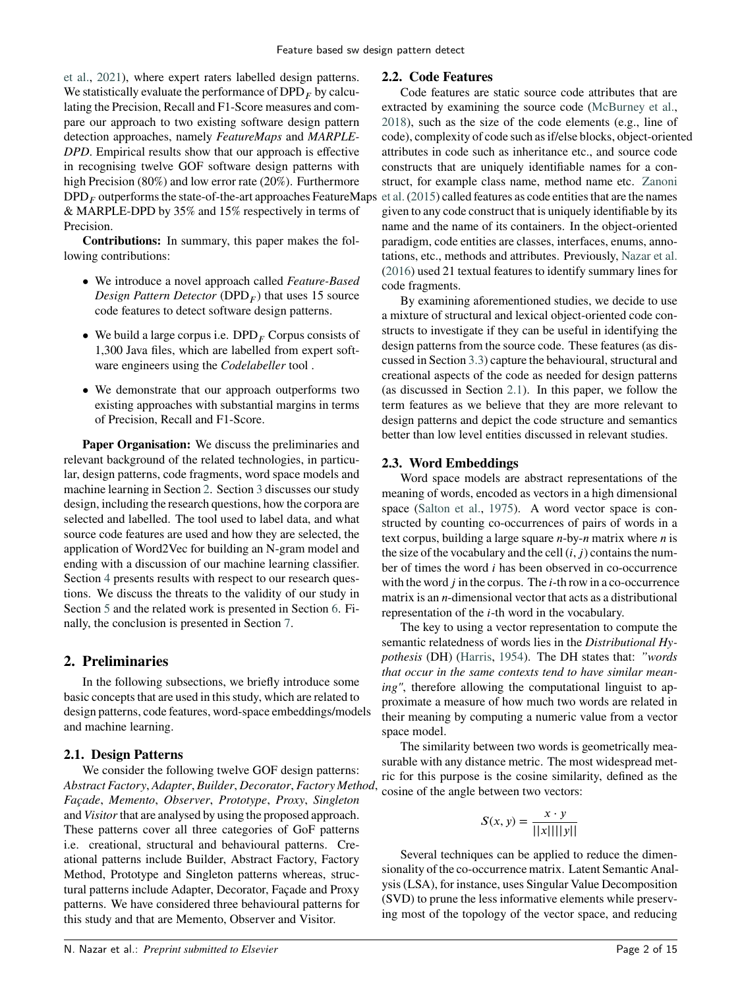[et al.,](#page-12-3) [2021\)](#page-12-3), where expert raters labelled design patterns. We statistically evaluate the performance of  $DPD<sub>F</sub>$  by calculating the Precision, Recall and F1-Score measures and compare our approach to two existing software design pattern detection approaches, namely *FeatureMaps* and *MARPLE-DPD*. Empirical results show that our approach is effective in recognising twelve GOF software design patterns with high Precision (80%) and low error rate (20%). Furthermore  $\text{DPD}_F$  outperforms the state-of-the-art approaches FeatureMaps & MARPLE-DPD by 35% and 15% respectively in terms of Precision.

**Contributions:** In summary, this paper makes the following contributions:

- We introduce a novel approach called *Feature-Based Design Pattern Detector* (DPD*<sup>𝐹</sup>* ) that uses 15 source code features to detect software design patterns.
- We build a large corpus i.e.  $DPD<sub>F</sub>$  Corpus consists of 1,300 Java files, which are labelled from expert software engineers using the *Codelabeller* tool .
- We demonstrate that our approach outperforms two existing approaches with substantial margins in terms of Precision, Recall and F1-Score.

**Paper Organisation:** We discuss the preliminaries and relevant background of the related technologies, in particular, design patterns, code fragments, word space models and machine learning in Section [2.](#page-1-0) Section [3](#page-2-0) discusses our study design, including the research questions, how the corpora are selected and labelled. The tool used to label data, and what source code features are used and how they are selected, the application of Word2Vec for building an N-gram model and ending with a discussion of our machine learning classifier. Section [4](#page-6-0) presents results with respect to our research questions. We discuss the threats to the validity of our study in Section [5](#page-10-0) and the related work is presented in Section [6.](#page-11-0) Finally, the conclusion is presented in Section [7.](#page-12-4)

# <span id="page-1-0"></span>**2. Preliminaries**

In the following subsections, we briefly introduce some basic concepts that are used in this study, which are related to design patterns, code features, word-space embeddings/models and machine learning.

# <span id="page-1-1"></span>**2.1. Design Patterns**

We consider the following twelve GOF design patterns: *Abstract Factory*, *Adapter*, *Builder*, *Decorator*, *Factory Method*, *Façade*, *Memento*, *Observer*, *Prototype*, *Proxy*, *Singleton* and *Visitor*that are analysed by using the proposed approach. These patterns cover all three categories of GoF patterns i.e. creational, structural and behavioural patterns. Creational patterns include Builder, Abstract Factory, Factory Method, Prototype and Singleton patterns whereas, structural patterns include Adapter, Decorator, Façade and Proxy patterns. We have considered three behavioural patterns for this study and that are Memento, Observer and Visitor.

### <span id="page-1-2"></span>**2.2. Code Features**

Code features are static source code attributes that are extracted by examining the source code [\(McBurney et al.,](#page-13-15) [2018\)](#page-13-15), such as the size of the code elements (e.g., line of code), complexity of code such as if/else blocks, object-oriented attributes in code such as inheritance etc., and source code constructs that are uniquely identifiable names for a construct, for example class name, method name etc. [Zanoni](#page-14-3) [et al.](#page-14-3) [\(2015\)](#page-14-3) called features as code entities that are the names given to any code construct that is uniquely identifiable by its name and the name of its containers. In the object-oriented paradigm, code entities are classes, interfaces, enums, annotations, etc., methods and attributes. Previously, [Nazar et al.](#page-13-13) [\(2016\)](#page-13-13) used 21 textual features to identify summary lines for code fragments.

By examining aforementioned studies, we decide to use a mixture of structural and lexical object-oriented code constructs to investigate if they can be useful in identifying the design patterns from the source code. These features (as discussed in Section [3.3\)](#page-3-0) capture the behavioural, structural and creational aspects of the code as needed for design patterns (as discussed in Section [2.1\)](#page-1-1). In this paper, we follow the term features as we believe that they are more relevant to design patterns and depict the code structure and semantics better than low level entities discussed in relevant studies.

# **2.3. Word Embeddings**

Word space models are abstract representations of the meaning of words, encoded as vectors in a high dimensional space [\(Salton et al.,](#page-13-16) [1975\)](#page-13-16). A word vector space is constructed by counting co-occurrences of pairs of words in a text corpus, building a large square *n*-by-*n* matrix where *n* is the size of the vocabulary and the cell  $(i, j)$  contains the number of times the word *i* has been observed in co-occurrence with the word *j* in the corpus. The *i*-th row in a co-occurrence matrix is an *n*-dimensional vector that acts as a distributional representation of the *i*-th word in the vocabulary.

The key to using a vector representation to compute the semantic relatedness of words lies in the *Distributional Hypothesis* (DH) [\(Harris,](#page-13-17) [1954\)](#page-13-17). The DH states that: *"words that occur in the same contexts tend to have similar meaning"*, therefore allowing the computational linguist to approximate a measure of how much two words are related in their meaning by computing a numeric value from a vector space model.

The similarity between two words is geometrically measurable with any distance metric. The most widespread metric for this purpose is the cosine similarity, defined as the cosine of the angle between two vectors:

$$
S(x, y) = \frac{x \cdot y}{||x|| ||y||}
$$

Several techniques can be applied to reduce the dimensionality of the co-occurrence matrix. Latent Semantic Analysis (LSA), for instance, uses Singular Value Decomposition (SVD) to prune the less informative elements while preserving most of the topology of the vector space, and reducing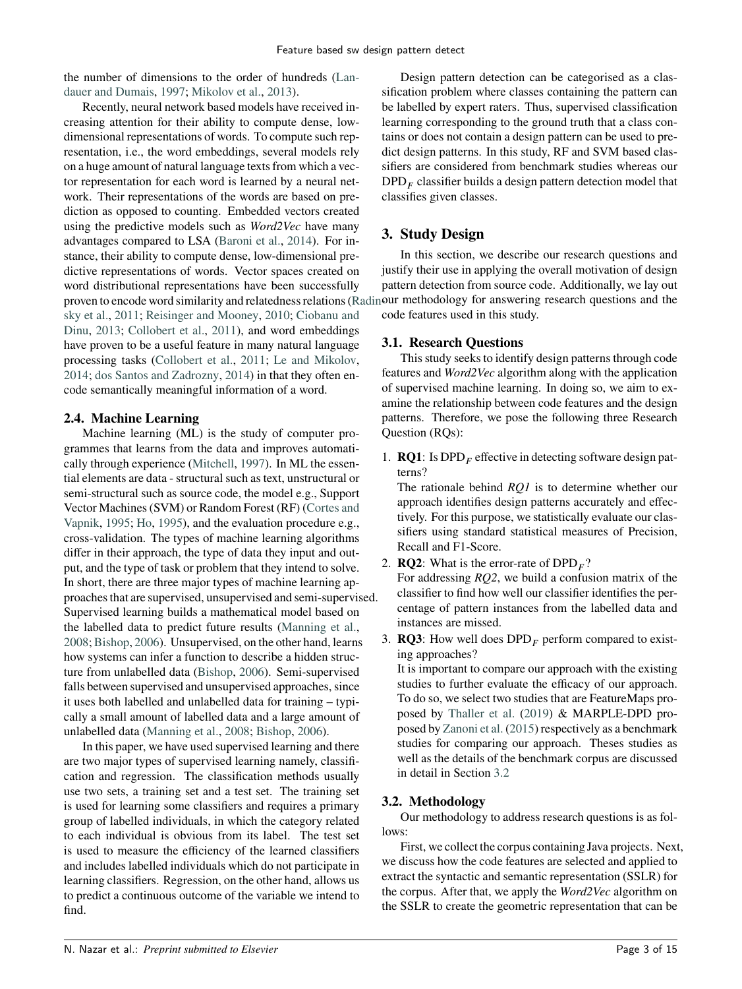the number of dimensions to the order of hundreds [\(Lan](#page-13-18)[dauer and Dumais,](#page-13-18) [1997;](#page-13-18) [Mikolov et al.,](#page-13-19) [2013\)](#page-13-19).

Recently, neural network based models have received increasing attention for their ability to compute dense, lowdimensional representations of words. To compute such representation, i.e., the word embeddings, several models rely on a huge amount of natural language texts from which a vector representation for each word is learned by a neural network. Their representations of the words are based on prediction as opposed to counting. Embedded vectors created using the predictive models such as *Word2Vec* have many advantages compared to LSA [\(Baroni et al.,](#page-12-5) [2014\)](#page-12-5). For instance, their ability to compute dense, low-dimensional predictive representations of words. Vector spaces created on word distributional representations have been successfully proven to encode word similarity and relatedness relations [\(Ra](#page-13-20)dinour methodology for answering research questions and the [sky et al.,](#page-13-20) [2011;](#page-13-20) [Reisinger and Mooney,](#page-13-21) [2010;](#page-13-21) [Ciobanu and](#page-12-6) [Dinu,](#page-12-6) [2013;](#page-12-6) [Collobert et al.,](#page-12-7) [2011\)](#page-12-7), and word embeddings have proven to be a useful feature in many natural language processing tasks [\(Collobert et al.,](#page-12-7) [2011;](#page-12-7) [Le and Mikolov,](#page-13-22) [2014;](#page-13-22) [dos Santos and Zadrozny,](#page-13-23) [2014\)](#page-13-23) in that they often encode semantically meaningful information of a word.

# **2.4. Machine Learning**

Machine learning (ML) is the study of computer programmes that learns from the data and improves automatically through experience [\(Mitchell,](#page-13-24) [1997\)](#page-13-24). In ML the essential elements are data - structural such as text, unstructural or semi-structural such as source code, the model e.g., Support Vector Machines (SVM) or Random Forest (RF) [\(Cortes and](#page-12-8) [Vapnik,](#page-12-8) [1995;](#page-12-8) [Ho,](#page-13-25) [1995\)](#page-13-25), and the evaluation procedure e.g., cross-validation. The types of machine learning algorithms differ in their approach, the type of data they input and output, and the type of task or problem that they intend to solve. In short, there are three major types of machine learning approaches that are supervised, unsupervised and semi-supervised. Supervised learning builds a mathematical model based on the labelled data to predict future results [\(Manning et al.,](#page-13-26) [2008;](#page-13-26) [Bishop,](#page-12-9) [2006\)](#page-12-9). Unsupervised, on the other hand, learns how systems can infer a function to describe a hidden structure from unlabelled data [\(Bishop,](#page-12-9) [2006\)](#page-12-9). Semi-supervised falls between supervised and unsupervised approaches, since it uses both labelled and unlabelled data for training – typically a small amount of labelled data and a large amount of unlabelled data [\(Manning et al.,](#page-13-26) [2008;](#page-13-26) [Bishop,](#page-12-9) [2006\)](#page-12-9).

In this paper, we have used supervised learning and there are two major types of supervised learning namely, classification and regression. The classification methods usually use two sets, a training set and a test set. The training set is used for learning some classifiers and requires a primary group of labelled individuals, in which the category related to each individual is obvious from its label. The test set is used to measure the efficiency of the learned classifiers and includes labelled individuals which do not participate in learning classifiers. Regression, on the other hand, allows us to predict a continuous outcome of the variable we intend to find.

Design pattern detection can be categorised as a classification problem where classes containing the pattern can be labelled by expert raters. Thus, supervised classification learning corresponding to the ground truth that a class contains or does not contain a design pattern can be used to predict design patterns. In this study, RF and SVM based classifiers are considered from benchmark studies whereas our DPD*<sup>𝐹</sup>* classifier builds a design pattern detection model that classifies given classes.

# <span id="page-2-0"></span>**3. Study Design**

In this section, we describe our research questions and justify their use in applying the overall motivation of design pattern detection from source code. Additionally, we lay out code features used in this study.

# **3.1. Research Questions**

This study seeks to identify design patterns through code features and *Word2Vec* algorithm along with the application of supervised machine learning. In doing so, we aim to examine the relationship between code features and the design patterns. Therefore, we pose the following three Research Question (RQs):

1. **RQ1**: Is DPD<sub> $<sub>F</sub>$  effective in detecting software design pat-</sub></sub> terns?

The rationale behind *RQ1* is to determine whether our approach identifies design patterns accurately and effectively. For this purpose, we statistically evaluate our classifiers using standard statistical measures of Precision, Recall and F1-Score.

- 2. **RQ2**: What is the error-rate of  $DPD<sub>F</sub>$ ? For addressing *RQ2*, we build a confusion matrix of the classifier to find how well our classifier identifies the percentage of pattern instances from the labelled data and instances are missed.
- 3. **RQ3**: How well does  $DPD<sub>F</sub>$  perform compared to existing approaches?

It is important to compare our approach with the existing studies to further evaluate the efficacy of our approach. To do so, we select two studies that are FeatureMaps proposed by [Thaller et al.](#page-13-27) [\(2019\)](#page-13-27) & MARPLE-DPD proposed by [Zanoni et al.](#page-14-3) [\(2015\)](#page-14-3) respectively as a benchmark studies for comparing our approach. Theses studies as well as the details of the benchmark corpus are discussed in detail in Section [3.2](#page-2-1)

# <span id="page-2-1"></span>**3.2. Methodology**

Our methodology to address research questions is as follows:

First, we collect the corpus containing Java projects. Next, we discuss how the code features are selected and applied to extract the syntactic and semantic representation (SSLR) for the corpus. After that, we apply the *Word2Vec* algorithm on the SSLR to create the geometric representation that can be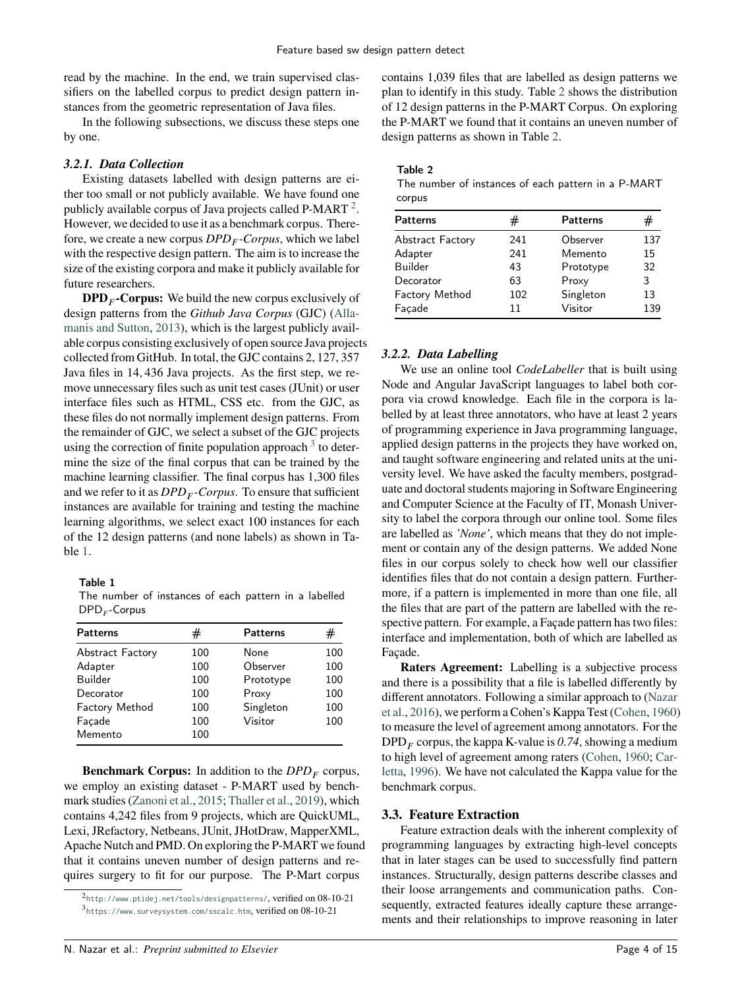read by the machine. In the end, we train supervised classifiers on the labelled corpus to predict design pattern instances from the geometric representation of Java files.

In the following subsections, we discuss these steps one by one.

### <span id="page-3-5"></span>*3.2.1. Data Collection*

Existing datasets labelled with design patterns are either too small or not publicly available. We have found one publicly available corpus of Java projects called P-MART  $^2$  $^2$ . However, we decided to use it as a benchmark corpus. Therefore, we create a new corpus *DPD<sup>𝐹</sup> -Corpus*, which we label with the respective design pattern. The aim is to increase the size of the existing corpora and make it publicly available for future researchers.

**DPD***<sup>𝐹</sup>* **-Corpus:** We build the new corpus exclusively of design patterns from the *Github Java Corpus* (GJC) [\(Alla](#page-12-2)[manis and Sutton,](#page-12-2) [2013\)](#page-12-2), which is the largest publicly available corpus consisting exclusively of open source Java projects collected from GitHub. In total, the GJC contains 2*,* 127*,* 357 Java files in 14*,* 436 Java projects. As the first step, we remove unnecessary files such as unit test cases (JUnit) or user interface files such as HTML, CSS etc. from the GJC, as these files do not normally implement design patterns. From the remainder of GJC, we select a subset of the GJC projects using the correction of finite population approach  $3$  to determine the size of the final corpus that can be trained by the machine learning classifier. The final corpus has 1,300 files and we refer to it as *DPD<sup>𝐹</sup> -Corpus*. To ensure that sufficient instances are available for training and testing the machine learning algorithms, we select exact 100 instances for each of the 12 design patterns (and none labels) as shown in Table [1.](#page-3-3)

Table 1

<span id="page-3-3"></span>The number of instances of each pattern in a labelled DPD*<sup>𝐹</sup>* -Corpus

| <b>Patterns</b>         | #   | <b>Patterns</b> | #   |
|-------------------------|-----|-----------------|-----|
| <b>Abstract Factory</b> | 100 | None            | 100 |
| Adapter                 | 100 | Observer        | 100 |
| Builder                 | 100 | Prototype       | 100 |
| Decorator               | 100 | Proxy           | 100 |
| Factory Method          | 100 | Singleton       | 100 |
| Façade                  | 100 | Visitor         | 100 |
| Memento                 | 100 |                 |     |

**Benchmark Corpus:** In addition to the  $DPD<sub>F</sub>$  corpus, we employ an existing dataset - P-MART used by benchmark studies [\(Zanoni et al.,](#page-14-3) [2015;](#page-14-3) [Thaller et al.,](#page-13-27) [2019\)](#page-13-27), which contains 4,242 files from 9 projects, which are QuickUML, Lexi, JRefactory, Netbeans, JUnit, JHotDraw, MapperXML, Apache Nutch and PMD. On exploring the P-MART we found that it contains uneven number of design patterns and requires surgery to fit for our purpose. The P-Mart corpus

contains 1,039 files that are labelled as design patterns we plan to identify in this study. Table [2](#page-3-4) shows the distribution of 12 design patterns in the P-MART Corpus. On exploring the P-MART we found that it contains an uneven number of design patterns as shown in Table [2.](#page-3-4)

### Table 2

<span id="page-3-4"></span>The number of instances of each pattern in a P-MART corpus

| #   | <b>Patterns</b> | #   |
|-----|-----------------|-----|
| 241 | Observer        | 137 |
| 241 | Memento         | 15  |
| 43  | Prototype       | 32  |
| 63  | Proxy           | 3   |
| 102 | Singleton       | 13  |
| 11  | Visitor         | 139 |
|     |                 |     |

### *3.2.2. Data Labelling*

We use an online tool *CodeLabeller* that is built using Node and Angular JavaScript languages to label both corpora via crowd knowledge. Each file in the corpora is labelled by at least three annotators, who have at least 2 years of programming experience in Java programming language, applied design patterns in the projects they have worked on, and taught software engineering and related units at the university level. We have asked the faculty members, postgraduate and doctoral students majoring in Software Engineering and Computer Science at the Faculty of IT, Monash University to label the corpora through our online tool. Some files are labelled as *'None'*, which means that they do not implement or contain any of the design patterns. We added None files in our corpus solely to check how well our classifier identifies files that do not contain a design pattern. Furthermore, if a pattern is implemented in more than one file, all the files that are part of the pattern are labelled with the respective pattern. For example, a Façade pattern has two files: interface and implementation, both of which are labelled as Façade.

**Raters Agreement:** Labelling is a subjective process and there is a possibility that a file is labelled differently by different annotators. Following a similar approach to [\(Nazar](#page-13-13) [et al.,](#page-13-13) [2016\)](#page-13-13), we perform a Cohen's Kappa Test [\(Cohen,](#page-12-10) [1960\)](#page-12-10) to measure the level of agreement among annotators. For the DPD*<sup>𝐹</sup>* corpus, the kappa K-value is *0.74*, showing a medium to high level of agreement among raters [\(Cohen,](#page-12-10) [1960;](#page-12-10) [Car](#page-12-11)[letta,](#page-12-11) [1996\)](#page-12-11). We have not calculated the Kappa value for the benchmark corpus.

# <span id="page-3-0"></span>**3.3. Feature Extraction**

Feature extraction deals with the inherent complexity of programming languages by extracting high-level concepts that in later stages can be used to successfully find pattern instances. Structurally, design patterns describe classes and their loose arrangements and communication paths. Consequently, extracted features ideally capture these arrangements and their relationships to improve reasoning in later

<span id="page-3-2"></span><span id="page-3-1"></span> $^2$ <http://www.ptidej.net/tools/designpatterns/>, $\rm{verified~on}~08$ - $10$ - $21$ 3 <https://www.surveysystem.com/sscalc.htm>, verified on 08-10-21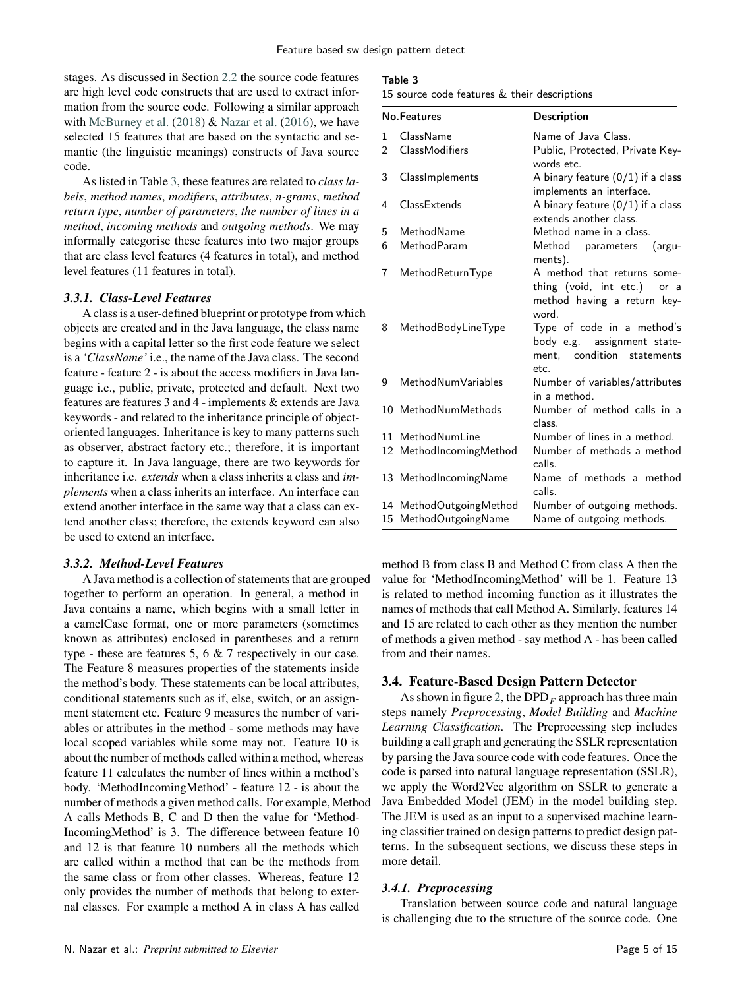stages. As discussed in Section [2.2](#page-1-2) the source code features are high level code constructs that are used to extract information from the source code. Following a similar approach with [McBurney et al.](#page-13-15)  $(2018)$  & [Nazar et al.](#page-13-13)  $(2016)$ , we have selected 15 features that are based on the syntactic and semantic (the linguistic meanings) constructs of Java source code.

As listed in Table [3,](#page-4-0) these features are related to *class labels*, *method names*, *modifiers*, *attributes*, *n-grams*, *method return type*, *number of parameters*, *the number of lines in a method*, *incoming methods* and *outgoing methods*. We may informally categorise these features into two major groups that are class level features (4 features in total), and method level features (11 features in total).

### *3.3.1. Class-Level Features*

A class is a user-defined blueprint or prototype from which objects are created and in the Java language, the class name begins with a capital letter so the first code feature we select is a *'ClassName'* i.e., the name of the Java class. The second feature - feature 2 - is about the access modifiers in Java language i.e., public, private, protected and default. Next two features are features 3 and 4 - implements & extends are Java keywords - and related to the inheritance principle of objectoriented languages. Inheritance is key to many patterns such as observer, abstract factory etc.; therefore, it is important to capture it. In Java language, there are two keywords for inheritance i.e. *extends* when a class inherits a class and *implements* when a class inherits an interface. An interface can extend another interface in the same way that a class can extend another class; therefore, the extends keyword can also be used to extend an interface.

### *3.3.2. Method-Level Features*

A Java method is a collection of statements that are grouped together to perform an operation. In general, a method in Java contains a name, which begins with a small letter in a camelCase format, one or more parameters (sometimes known as attributes) enclosed in parentheses and a return type - these are features 5, 6  $\&$  7 respectively in our case. The Feature 8 measures properties of the statements inside the method's body. These statements can be local attributes, conditional statements such as if, else, switch, or an assignment statement etc. Feature 9 measures the number of variables or attributes in the method - some methods may have local scoped variables while some may not. Feature 10 is about the number of methods called within a method, whereas feature 11 calculates the number of lines within a method's body. 'MethodIncomingMethod' - feature 12 - is about the number of methods a given method calls. For example, Method A calls Methods B, C and D then the value for 'Method-IncomingMethod' is 3. The difference between feature 10 and 12 is that feature 10 numbers all the methods which are called within a method that can be the methods from the same class or from other classes. Whereas, feature 12 only provides the number of methods that belong to external classes. For example a method A in class A has called

### Table 3

<span id="page-4-0"></span>15 source code features & their descriptions

|                | <b>No.Features</b>      | <b>Description</b>                                                                                    |
|----------------|-------------------------|-------------------------------------------------------------------------------------------------------|
| 1              | ClassName               | Name of Java Class.                                                                                   |
| $\overline{2}$ | ClassModifiers          | Public, Protected, Private Key-<br>words etc.                                                         |
| 3              | ClassImplements         | A binary feature $(0/1)$ if a class<br>implements an interface.                                       |
| 4              | ClassExtends            | A binary feature $(0/1)$ if a class<br>extends another class.                                         |
| 5              | MethodName              | Method name in a class.                                                                               |
| 6              | MethodParam             | Method parameters<br>(argu-<br>ments).                                                                |
| 7              | MethodReturnType        | A method that returns some-<br>thing (void, int etc.)<br>or a<br>method having a return key-<br>word. |
| 8              | MethodBodyLineType      | Type of code in a method's<br>body e.g. assignment state-<br>ment. condition<br>statements<br>etc.    |
| 9              | MethodNumVariables      | Number of variables/attributes<br>in a method.                                                        |
|                | 10 MethodNumMethods     | Number of method calls in a<br>class.                                                                 |
|                | 11 MethodNumLine        | Number of lines in a method.                                                                          |
|                | 12 MethodIncomingMethod | Number of methods a method<br>calls.                                                                  |
|                | 13 MethodIncomingName   | Name of methods a method<br>calls.                                                                    |
|                | 14 MethodOutgoingMethod | Number of outgoing methods.                                                                           |
|                | 15 MethodOutgoingName   | Name of outgoing methods.                                                                             |

method B from class B and Method C from class A then the value for 'MethodIncomingMethod' will be 1. Feature 13 is related to method incoming function as it illustrates the names of methods that call Method A. Similarly, features 14 and 15 are related to each other as they mention the number of methods a given method - say method A - has been called from and their names.

### **3.4. Feature-Based Design Pattern Detector**

As shown in figure [2,](#page-6-1) the  $DPD<sub>F</sub>$  approach has three main steps namely *Preprocessing*, *Model Building* and *Machine Learning Classification*. The Preprocessing step includes building a call graph and generating the SSLR representation by parsing the Java source code with code features. Once the code is parsed into natural language representation (SSLR), we apply the Word2Vec algorithm on SSLR to generate a Java Embedded Model (JEM) in the model building step. The JEM is used as an input to a supervised machine learning classifier trained on design patterns to predict design patterns. In the subsequent sections, we discuss these steps in more detail.

### *3.4.1. Preprocessing*

Translation between source code and natural language is challenging due to the structure of the source code. One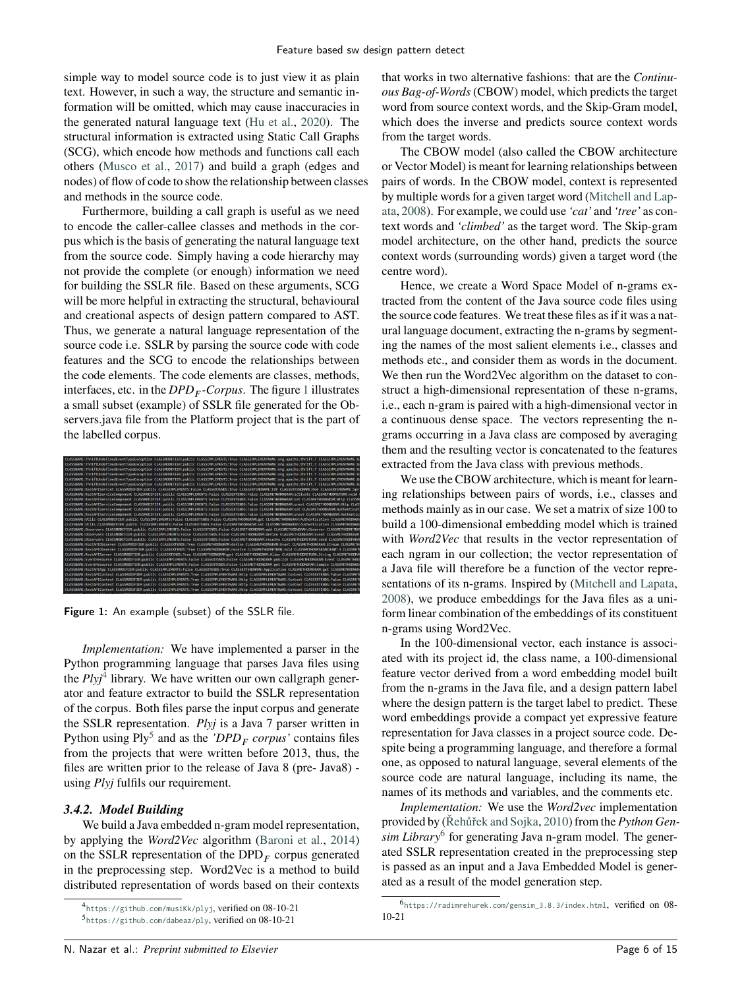simple way to model source code is to just view it as plain text. However, in such a way, the structure and semantic information will be omitted, which may cause inaccuracies in the generated natural language text [\(Hu et al.,](#page-13-28) [2020\)](#page-13-28). The structural information is extracted using Static Call Graphs (SCG), which encode how methods and functions call each others [\(Musco et al.,](#page-13-29) [2017\)](#page-13-29) and build a graph (edges and nodes) of flow of code to show the relationship between classes and methods in the source code.

Furthermore, building a call graph is useful as we need to encode the caller-callee classes and methods in the corpus which is the basis of generating the natural language text from the source code. Simply having a code hierarchy may not provide the complete (or enough) information we need for building the SSLR file. Based on these arguments, SCG will be more helpful in extracting the structural, behavioural and creational aspects of design pattern compared to AST. Thus, we generate a natural language representation of the source code i.e. SSLR by parsing the source code with code features and the SCG to encode the relationships between the code elements. The code elements are classes, methods, interfaces, etc. in the *DPD<sup>𝐹</sup> -Corpus*. The figure [1](#page-5-0) illustrates a small subset (example) of SSLR file generated for the Observers.java file from the Platform project that is the part of the labelled corpus.



Figure 1: An example (subset) of the SSLR file.

<span id="page-5-0"></span>*Implementation:* We have implemented a parser in the Python programming language that parses Java files using the *Plyj*[4](#page-5-1) library. We have written our own callgraph generator and feature extractor to build the SSLR representation of the corpus. Both files parse the input corpus and generate the SSLR representation. *Plyj* is a Java 7 parser written in Python using  $Ply^5$  $Ply^5$  and as the *'DPD<sub>F</sub>* corpus' contains files from the projects that were written before 2013, thus, the files are written prior to the release of Java 8 (pre- Java8) using *Plyj* fulfils our requirement.

### <span id="page-5-4"></span>*3.4.2. Model Building*

We build a Java embedded n-gram model representation, by applying the *Word2Vec* algorithm [\(Baroni et al.,](#page-12-5) [2014\)](#page-12-5) on the SSLR representation of the DPD<sub>*F*</sub> corpus generated in the preprocessing step. Word2Vec is a method to build distributed representation of words based on their contexts

that works in two alternative fashions: that are the *Continuous Bag-of-Words* (CBOW) model, which predicts the target word from source context words, and the Skip-Gram model, which does the inverse and predicts source context words from the target words.

The CBOW model (also called the CBOW architecture or Vector Model) is meant for learning relationships between pairs of words. In the CBOW model, context is represented by multiple words for a given target word [\(Mitchell and Lap](#page-13-30)[ata,](#page-13-30) [2008\)](#page-13-30). For example, we could use *'cat'* and *'tree'* as context words and *'climbed'* as the target word. The Skip-gram model architecture, on the other hand, predicts the source context words (surrounding words) given a target word (the centre word).

Hence, we create a Word Space Model of n-grams extracted from the content of the Java source code files using the source code features. We treat these files as if it was a natural language document, extracting the n-grams by segmenting the names of the most salient elements i.e., classes and methods etc., and consider them as words in the document. We then run the Word2Vec algorithm on the dataset to construct a high-dimensional representation of these n-grams, i.e., each n-gram is paired with a high-dimensional vector in a continuous dense space. The vectors representing the ngrams occurring in a Java class are composed by averaging them and the resulting vector is concatenated to the features extracted from the Java class with previous methods.

We use the CBOW architecture, which is meant for learning relationships between pairs of words, i.e., classes and methods mainly as in our case. We set a matrix of size 100 to build a 100-dimensional embedding model which is trained with *Word2Vec* that results in the vector representation of each ngram in our collection; the vector representation of a Java file will therefore be a function of the vector representations of its n-grams. Inspired by [\(Mitchell and Lapata,](#page-13-30) [2008\)](#page-13-30), we produce embeddings for the Java files as a uniform linear combination of the embeddings of its constituent n-grams using Word2Vec.

In the 100-dimensional vector, each instance is associated with its project id, the class name, a 100-dimensional feature vector derived from a word embedding model built from the n-grams in the Java file, and a design pattern label where the design pattern is the target label to predict. These word embeddings provide a compact yet expressive feature representation for Java classes in a project source code. Despite being a programming language, and therefore a formal one, as opposed to natural language, several elements of the source code are natural language, including its name, the names of its methods and variables, and the comments etc.

*Implementation:* We use the *Word2vec* implementation provided by [\(Řehůřek and Sojka,](#page-13-31) [2010\)](#page-13-31) from the *Python Gen-*sim Library<sup>[6](#page-5-3)</sup> for generating Java n-gram model. The generated SSLR representation created in the preprocessing step is passed as an input and a Java Embedded Model is generated as a result of the model generation step.

<span id="page-5-2"></span><span id="page-5-1"></span><sup>4</sup> <https://github.com/musiKk/plyj>, verified on 08-10-21 5 <https://github.com/dabeaz/ply>, verified on 08-10-21

<span id="page-5-3"></span><sup>6</sup> [https://radimrehurek.com/gensim\\_3.8.3/index.html](https://radimrehurek.com/gensim_3.8.3/index.html), verified on 08- 10-21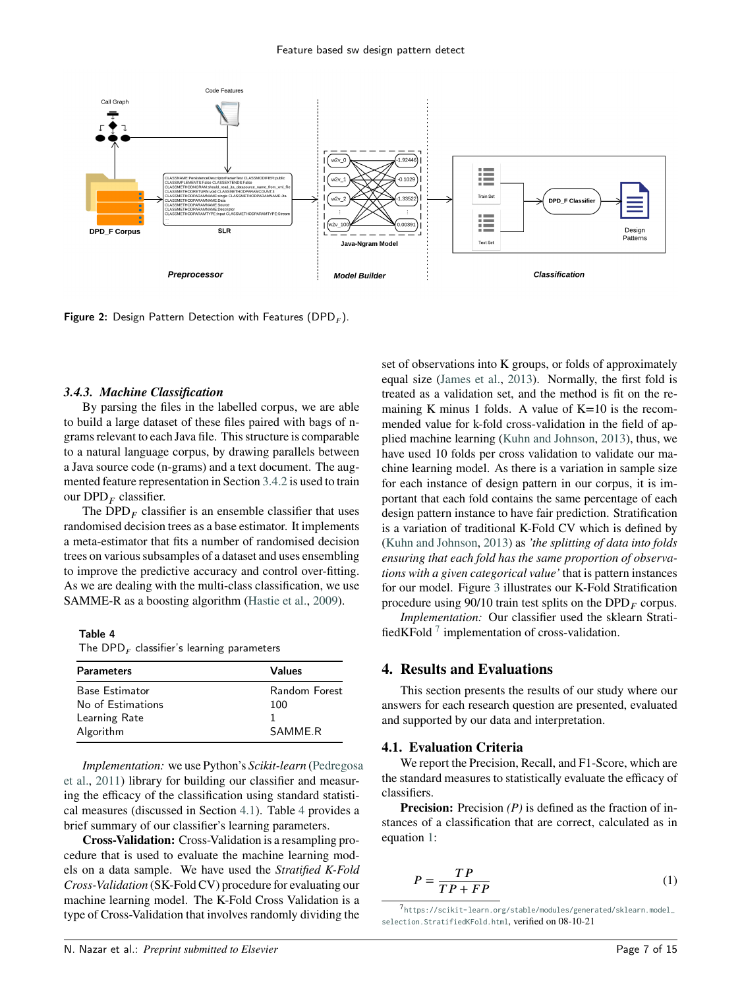

<span id="page-6-1"></span>**Figure 2:** Design Pattern Detection with Features (DPD $_F$ ).

#### *3.4.3. Machine Classification*

By parsing the files in the labelled corpus, we are able to build a large dataset of these files paired with bags of ngrams relevant to each Java file. This structure is comparable to a natural language corpus, by drawing parallels between a Java source code (n-grams) and a text document. The augmented feature representation in Section [3.4.2](#page-5-4) is used to train our DPD*<sup>𝐹</sup>* classifier.

The  $DPD<sub>F</sub>$  classifier is an ensemble classifier that uses randomised decision trees as a base estimator. It implements a meta-estimator that fits a number of randomised decision trees on various subsamples of a dataset and uses ensembling to improve the predictive accuracy and control over-fitting. As we are dealing with the multi-class classification, we use SAMME-R as a boosting algorithm [\(Hastie et al.,](#page-13-32) [2009\)](#page-13-32).

#### Table 4

<span id="page-6-3"></span>The  $\mathsf{DPD}_F$  classifier's learning parameters

| <b>Parameters</b>     | Values        |
|-----------------------|---------------|
| <b>Base Estimator</b> | Random Forest |
| No of Estimations     | 100           |
| Learning Rate         |               |
| Algorithm             | SAMME R       |

*Implementation:* we use Python's *Scikit-learn* [\(Pedregosa](#page-13-33) [et al.,](#page-13-33) [2011\)](#page-13-33) library for building our classifier and measuring the efficacy of the classification using standard statistical measures (discussed in Section [4.1\)](#page-6-2). Table [4](#page-6-3) provides a brief summary of our classifier's learning parameters.

**Cross-Validation:** Cross-Validation is a resampling procedure that is used to evaluate the machine learning models on a data sample. We have used the *Stratified K-Fold Cross-Validation* (SK-Fold CV) procedure for evaluating our machine learning model. The K-Fold Cross Validation is a type of Cross-Validation that involves randomly dividing the set of observations into K groups, or folds of approximately equal size [\(James et al.,](#page-13-34) [2013\)](#page-13-34). Normally, the first fold is treated as a validation set, and the method is fit on the remaining K minus 1 folds. A value of  $K=10$  is the recommended value for k-fold cross-validation in the field of applied machine learning [\(Kuhn and Johnson,](#page-13-35) [2013\)](#page-13-35), thus, we have used 10 folds per cross validation to validate our machine learning model. As there is a variation in sample size for each instance of design pattern in our corpus, it is important that each fold contains the same percentage of each design pattern instance to have fair prediction. Stratification is a variation of traditional K-Fold CV which is defined by [\(Kuhn and Johnson,](#page-13-35) [2013\)](#page-13-35) as *'the splitting of data into folds ensuring that each fold has the same proportion of observations with a given categorical value'* that is pattern instances for our model. Figure [3](#page-7-0) illustrates our K-Fold Stratification procedure using  $90/10$  train test splits on the  $DPD<sub>F</sub>$  corpus.

*Implementation:* Our classifier used the sklearn Strati-fiedKFold<sup>[7](#page-6-4)</sup> implementation of cross-validation.

### <span id="page-6-0"></span>**4. Results and Evaluations**

This section presents the results of our study where our answers for each research question are presented, evaluated and supported by our data and interpretation.

#### <span id="page-6-2"></span>**4.1. Evaluation Criteria**

We report the Precision, Recall, and F1-Score, which are the standard measures to statistically evaluate the efficacy of classifiers.

**Precision:** Precision *(P)* is defined as the fraction of instances of a classification that are correct, calculated as in equation [1:](#page-6-5)

<span id="page-6-5"></span>
$$
P = \frac{TP}{TP + FP} \tag{1}
$$

<span id="page-6-4"></span>7 [https://scikit-learn.org/stable/modules/generated/sklearn.model\\_](https://scikit-learn.org/stable/modules/generated/sklearn.model_selection.StratifiedKFold.html) [selection.StratifiedKFold.html](https://scikit-learn.org/stable/modules/generated/sklearn.model_selection.StratifiedKFold.html), verified on 08-10-21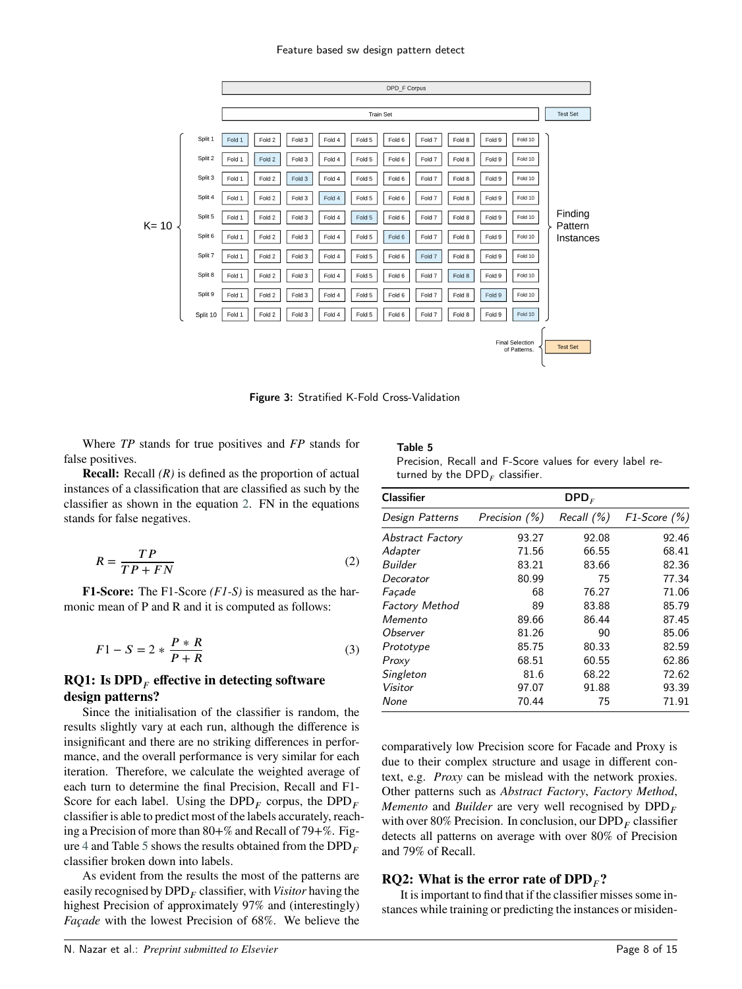#### Feature based sw design pattern detect



<span id="page-7-0"></span>Figure 3: Stratified K-Fold Cross-Validation

Where *TP* stands for true positives and *FP* stands for false positives.

**Recall:** Recall *(R)* is defined as the proportion of actual instances of a classification that are classified as such by the classifier as shown in the equation [2.](#page-7-1) FN in the equations stands for false negatives.

<span id="page-7-1"></span>
$$
R = \frac{TP}{TP + FN} \tag{2}
$$

**F1-Score:** The F1-Score *(F1-S)* is measured as the harmonic mean of P and R and it is computed as follows:

$$
F1 - S = 2 * \frac{P * R}{P + R}
$$
\n<sup>(3)</sup>

### **RQ1: Is DPD***<sup>𝐹</sup>* **effective in detecting software design patterns?**

Since the initialisation of the classifier is random, the results slightly vary at each run, although the difference is insignificant and there are no striking differences in performance, and the overall performance is very similar for each iteration. Therefore, we calculate the weighted average of each turn to determine the final Precision, Recall and F1- Score for each label. Using the  $DPD<sub>F</sub>$  corpus, the  $DPD<sub>F</sub>$ classifier is able to predict most of the labels accurately, reaching a Precision of more than 80+% and Recall of 79+%. Fig-ure [4](#page-8-0) and Table [5](#page-7-2) shows the results obtained from the  $DPD<sub>F</sub>$ classifier broken down into labels.

As evident from the results the most of the patterns are easily recognised by DPD*<sup>𝐹</sup>* classifier, with *Visitor* having the highest Precision of approximately 97% and (interestingly) *Façade* with the lowest Precision of 68%. We believe the Table 5

<span id="page-7-2"></span>

| Precision, Recall and F-Score values for every label re- |  |  |  |  |
|----------------------------------------------------------|--|--|--|--|
| turned by the DPD <sub>F</sub> classifier.               |  |  |  |  |

| <b>Classifier</b>     |               | $\mathsf{DPD}_F$ |                    |
|-----------------------|---------------|------------------|--------------------|
| Design Patterns       | Precision (%) | Recall $(\% )$   | $F1$ -Score $(\%)$ |
| Abstract Factory      | 93.27         | 92.08            | 92.46              |
| Adapter               | 71.56         | 66.55            | 68.41              |
| Builder               | 83.21         | 83.66            | 82.36              |
| Decorator             | 80.99         | 75               | 77.34              |
| Facade                | 68            | 76.27            | 71.06              |
| <b>Factory Method</b> | 89            | 83.88            | 85.79              |
| Memento               | 89.66         | 86.44            | 87.45              |
| Observer              | 81.26         | 90               | 85.06              |
| Prototype             | 85.75         | 80.33            | 82.59              |
| Proxy                 | 68.51         | 60.55            | 62.86              |
| Singleton             | 81.6          | 68.22            | 72.62              |
| Visitor               | 97.07         | 91.88            | 93.39              |
| None                  | 70.44         | 75               | 71.91              |

comparatively low Precision score for Facade and Proxy is due to their complex structure and usage in different context, e.g. *Proxy* can be mislead with the network proxies. Other patterns such as *Abstract Factory*, *Factory Method*, *Memento* and *Builder* are very well recognised by  $DPD<sub>F</sub>$ with over 80% Precision. In conclusion, our  $\text{DPD}_F$  classifier detects all patterns on average with over 80% of Precision and 79% of Recall.

# **RQ2:** What is the error rate of  $\text{DPD}_F$ ?

It is important to find that if the classifier misses some instances while training or predicting the instances or misiden-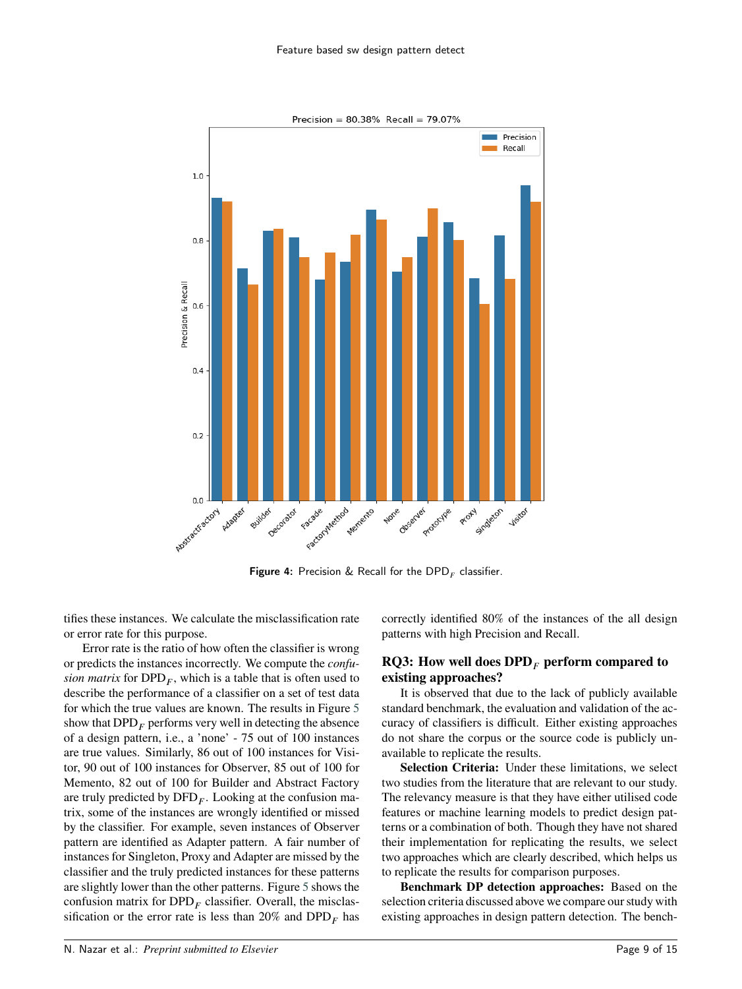

<span id="page-8-0"></span>**Figure 4:** Precision & Recall for the  $\textsf{DPD}_F$  classifier.

tifies these instances. We calculate the misclassification rate or error rate for this purpose.

Error rate is the ratio of how often the classifier is wrong or predicts the instances incorrectly. We compute the *confusion matrix* for  $DPD<sub>F</sub>$ , which is a table that is often used to describe the performance of a classifier on a set of test data for which the true values are known. The results in Figure [5](#page-9-0) show that  $\text{DPD}_F$  performs very well in detecting the absence of a design pattern, i.e., a 'none' - 75 out of 100 instances are true values. Similarly, 86 out of 100 instances for Visitor, 90 out of 100 instances for Observer, 85 out of 100 for Memento, 82 out of 100 for Builder and Abstract Factory are truly predicted by DFD<sub>F</sub>. Looking at the confusion matrix, some of the instances are wrongly identified or missed by the classifier. For example, seven instances of Observer pattern are identified as Adapter pattern. A fair number of instances for Singleton, Proxy and Adapter are missed by the classifier and the truly predicted instances for these patterns are slightly lower than the other patterns. Figure [5](#page-9-0) shows the confusion matrix for  $DPD<sub>F</sub>$  classifier. Overall, the misclassification or the error rate is less than  $20\%$  and  $DPD<sub>F</sub>$  has

correctly identified 80% of the instances of the all design patterns with high Precision and Recall.

# **RQ3: How well does DPD***<sup>𝐹</sup>* **perform compared to existing approaches?**

It is observed that due to the lack of publicly available standard benchmark, the evaluation and validation of the accuracy of classifiers is difficult. Either existing approaches do not share the corpus or the source code is publicly unavailable to replicate the results.

**Selection Criteria:** Under these limitations, we select two studies from the literature that are relevant to our study. The relevancy measure is that they have either utilised code features or machine learning models to predict design patterns or a combination of both. Though they have not shared their implementation for replicating the results, we select two approaches which are clearly described, which helps us to replicate the results for comparison purposes.

**Benchmark DP detection approaches:** Based on the selection criteria discussed above we compare our study with existing approaches in design pattern detection. The bench-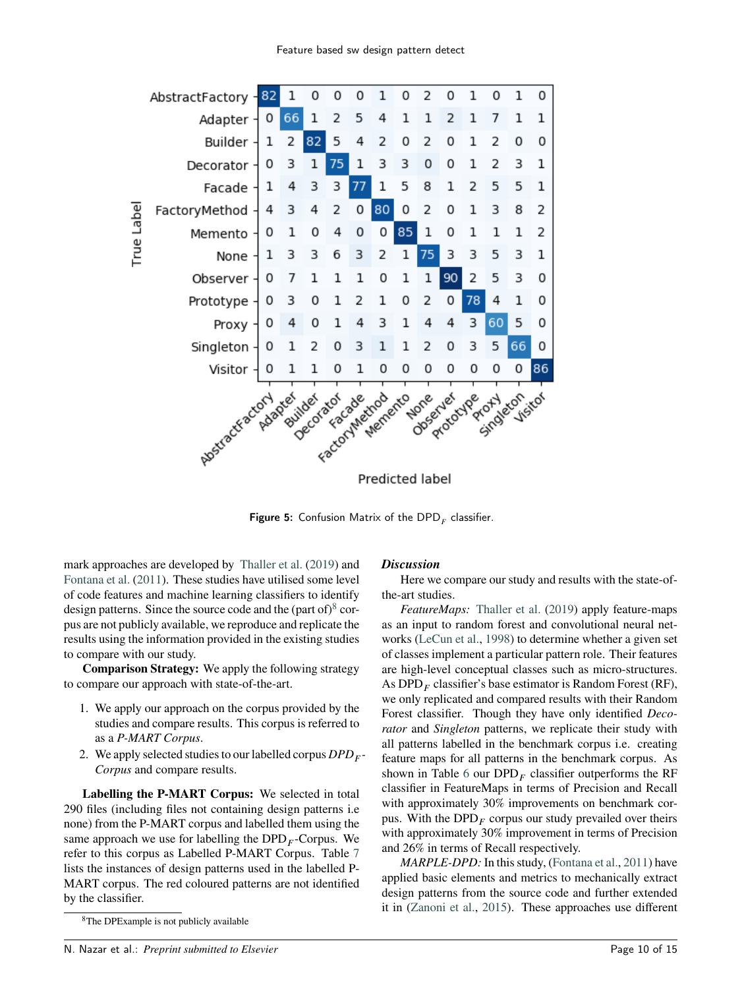

<span id="page-9-0"></span>**Figure 5:** Confusion Matrix of the  $\textsf{DPD}_F$  classifier.

mark approaches are developed by [Thaller et al.](#page-13-27) [\(2019\)](#page-13-27) and [Fontana et al.](#page-13-14) [\(2011\)](#page-13-14). These studies have utilised some level of code features and machine learning classifiers to identify design patterns. Since the source code and the (part of) $8$  corpus are not publicly available, we reproduce and replicate the results using the information provided in the existing studies to compare with our study.

**Comparison Strategy:** We apply the following strategy to compare our approach with state-of-the-art.

- 1. We apply our approach on the corpus provided by the studies and compare results. This corpus is referred to as a *P-MART Corpus*.
- 2. We apply selected studies to our labelled corpus  $DPD_F$ *Corpus* and compare results.

**Labelling the P-MART Corpus:** We selected in total 290 files (including files not containing design patterns i.e none) from the P-MART corpus and labelled them using the same approach we use for labelling the  $DPD<sub>F</sub>$ -Corpus. We refer to this corpus as Labelled P-MART Corpus. Table [7](#page-10-1) lists the instances of design patterns used in the labelled P-MART corpus. The red coloured patterns are not identified by the classifier.

### *Discussion*

Here we compare our study and results with the state-ofthe-art studies.

*FeatureMaps:* [Thaller et al.](#page-13-27) [\(2019\)](#page-13-27) apply feature-maps as an input to random forest and convolutional neural networks [\(LeCun et al.,](#page-13-36) [1998\)](#page-13-36) to determine whether a given set of classes implement a particular pattern role. Their features are high-level conceptual classes such as micro-structures. As DPD*<sup>𝐹</sup>* classifier's base estimator is Random Forest (RF), we only replicated and compared results with their Random Forest classifier. Though they have only identified *Decorator* and *Singleton* patterns, we replicate their study with all patterns labelled in the benchmark corpus i.e. creating feature maps for all patterns in the benchmark corpus. As shown in Table [6](#page-10-2) our  $DPD<sub>F</sub>$  classifier outperforms the RF classifier in FeatureMaps in terms of Precision and Recall with approximately 30% improvements on benchmark corpus. With the DPD<sub>*F*</sub> corpus our study prevailed over theirs with approximately 30% improvement in terms of Precision and 26% in terms of Recall respectively.

*MARPLE-DPD:* In this study, [\(Fontana et al.,](#page-13-14) [2011\)](#page-13-14) have applied basic elements and metrics to mechanically extract design patterns from the source code and further extended it in [\(Zanoni et al.,](#page-14-3) [2015\)](#page-14-3). These approaches use different

<span id="page-9-1"></span><sup>8</sup>The DPExample is not publicly available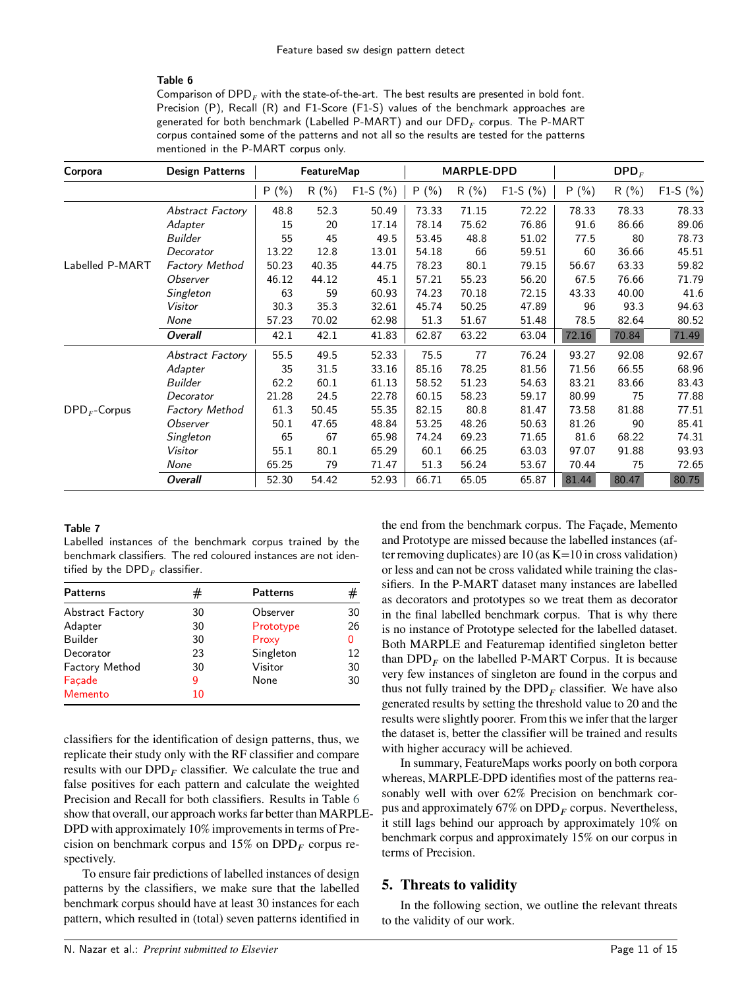#### Table 6

<span id="page-10-2"></span>Comparison of DPD<sub>*F*</sub> with the state-of-the-art. The best results are presented in bold font. Precision (P), Recall (R) and F1-Score (F1-S) values of the benchmark approaches are generated for both benchmark (Labelled P-MART) and our DFD $_{\scriptscriptstyle F}$  corpus. The P-MART corpus contained some of the patterns and not all so the results are tested for the patterns mentioned in the P-MART corpus only.

| Corpora                          | <b>Design Patterns</b> |       | <b>FeatureMap</b> |            |       | MARPLE-DPD |            |       | $\mathbf{DPD}_F$ |            |
|----------------------------------|------------------------|-------|-------------------|------------|-------|------------|------------|-------|------------------|------------|
|                                  |                        | P(%)  | R(%)              | $F1-S (%)$ | P(% ) | R(%)       | $F1-S (%)$ | P(%)  | $R(\%)$          | $F1-S (%)$ |
|                                  | Abstract Factory       | 48.8  | 52.3              | 50.49      | 73.33 | 71.15      | 72.22      | 78.33 | 78.33            | 78.33      |
|                                  | Adapter                | 15    | 20                | 17.14      | 78.14 | 75.62      | 76.86      | 91.6  | 86.66            | 89.06      |
|                                  | <b>Builder</b>         | 55    | 45                | 49.5       | 53.45 | 48.8       | 51.02      | 77.5  | 80               | 78.73      |
|                                  | Decorator              | 13.22 | 12.8              | 13.01      | 54.18 | 66         | 59.51      | 60    | 36.66            | 45.51      |
| Labelled P-MART                  | <b>Factory Method</b>  | 50.23 | 40.35             | 44.75      | 78.23 | 80.1       | 79.15      | 56.67 | 63.33            | 59.82      |
|                                  | Observer               | 46.12 | 44.12             | 45.1       | 57.21 | 55.23      | 56.20      | 67.5  | 76.66            | 71.79      |
|                                  | Singleton              | 63    | 59                | 60.93      | 74.23 | 70.18      | 72.15      | 43.33 | 40.00            | 41.6       |
|                                  | Visitor                | 30.3  | 35.3              | 32.61      | 45.74 | 50.25      | 47.89      | 96    | 93.3             | 94.63      |
|                                  | None                   | 57.23 | 70.02             | 62.98      | 51.3  | 51.67      | 51.48      | 78.5  | 82.64            | 80.52      |
|                                  | <b>Overall</b>         | 42.1  | 42.1              | 41.83      | 62.87 | 63.22      | 63.04      | 72.16 | 70.84            | 71.49      |
|                                  | Abstract Factory       | 55.5  | 49.5              | 52.33      | 75.5  | 77         | 76.24      | 93.27 | 92.08            | 92.67      |
|                                  | Adapter                | 35    | 31.5              | 33.16      | 85.16 | 78.25      | 81.56      | 71.56 | 66.55            | 68.96      |
|                                  | Builder                | 62.2  | 60.1              | 61.13      | 58.52 | 51.23      | 54.63      | 83.21 | 83.66            | 83.43      |
|                                  | Decorator              | 21.28 | 24.5              | 22.78      | 60.15 | 58.23      | 59.17      | 80.99 | 75               | 77.88      |
| $\textsf{DPD}_F\textsf{-Corpus}$ | <b>Factory Method</b>  | 61.3  | 50.45             | 55.35      | 82.15 | 80.8       | 81.47      | 73.58 | 81.88            | 77.51      |
|                                  | Observer               | 50.1  | 47.65             | 48.84      | 53.25 | 48.26      | 50.63      | 81.26 | 90               | 85.41      |
|                                  | Singleton              | 65    | 67                | 65.98      | 74.24 | 69.23      | 71.65      | 81.6  | 68.22            | 74.31      |
|                                  | Visitor                | 55.1  | 80.1              | 65.29      | 60.1  | 66.25      | 63.03      | 97.07 | 91.88            | 93.93      |
|                                  | None                   | 65.25 | 79                | 71.47      | 51.3  | 56.24      | 53.67      | 70.44 | 75               | 72.65      |
|                                  | <b>Overall</b>         | 52.30 | 54.42             | 52.93      | 66.71 | 65.05      | 65.87      | 81.44 | 80.47            | 80.75      |

#### Table 7

<span id="page-10-1"></span>Labelled instances of the benchmark corpus trained by the benchmark classifiers. The red coloured instances are not identified by the  $\mathsf{DPD}_F$  classifier.

| <b>Patterns</b>         | #  | <b>Patterns</b> | #  |
|-------------------------|----|-----------------|----|
| <b>Abstract Factory</b> | 30 | Observer        | 30 |
| Adapter                 | 30 | Prototype       | 26 |
| <b>Builder</b>          | 30 | Proxy           | 0  |
| Decorator               | 23 | Singleton       | 12 |
| <b>Factory Method</b>   | 30 | Visitor         | 30 |
| Façade                  | 9  | None            | 30 |
| Memento                 | 10 |                 |    |

classifiers for the identification of design patterns, thus, we replicate their study only with the RF classifier and compare results with our DPD<sub>*F*</sub> classifier. We calculate the true and false positives for each pattern and calculate the weighted Precision and Recall for both classifiers. Results in Table [6](#page-10-2) show that overall, our approach works far better than MARPLE-DPD with approximately 10% improvements in terms of Precision on benchmark corpus and  $15\%$  on  $DPD<sub>F</sub>$  corpus respectively.

To ensure fair predictions of labelled instances of design patterns by the classifiers, we make sure that the labelled benchmark corpus should have at least 30 instances for each pattern, which resulted in (total) seven patterns identified in the end from the benchmark corpus. The Façade, Memento and Prototype are missed because the labelled instances (after removing duplicates) are  $10$  (as  $K=10$  in cross validation) or less and can not be cross validated while training the classifiers. In the P-MART dataset many instances are labelled as decorators and prototypes so we treat them as decorator in the final labelled benchmark corpus. That is why there is no instance of Prototype selected for the labelled dataset. Both MARPLE and Featuremap identified singleton better than  $DPD<sub>F</sub>$  on the labelled P-MART Corpus. It is because very few instances of singleton are found in the corpus and thus not fully trained by the  $DPD<sub>F</sub>$  classifier. We have also generated results by setting the threshold value to 20 and the results were slightly poorer. From this we infer that the larger the dataset is, better the classifier will be trained and results with higher accuracy will be achieved.

In summary, FeatureMaps works poorly on both corpora whereas, MARPLE-DPD identifies most of the patterns reasonably well with over 62% Precision on benchmark corpus and approximately  $67\%$  on  $DPD<sub>F</sub>$  corpus. Nevertheless, it still lags behind our approach by approximately 10% on benchmark corpus and approximately 15% on our corpus in terms of Precision.

### <span id="page-10-0"></span>**5. Threats to validity**

In the following section, we outline the relevant threats to the validity of our work.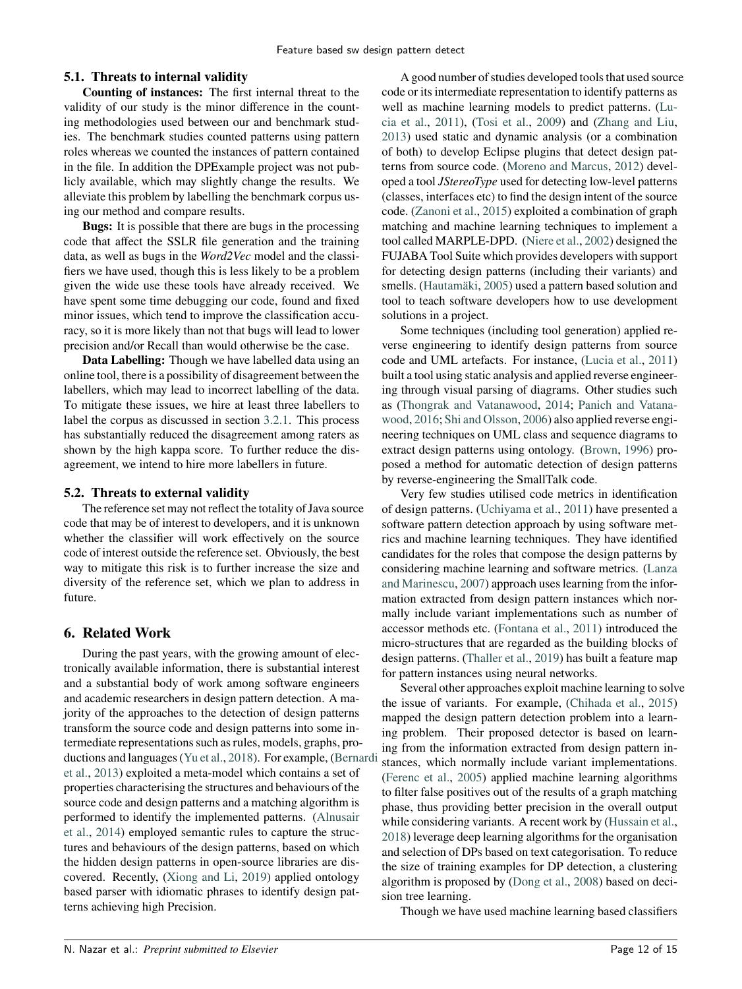### **5.1. Threats to internal validity**

**Counting of instances:** The first internal threat to the validity of our study is the minor difference in the counting methodologies used between our and benchmark studies. The benchmark studies counted patterns using pattern roles whereas we counted the instances of pattern contained in the file. In addition the DPExample project was not publicly available, which may slightly change the results. We alleviate this problem by labelling the benchmark corpus using our method and compare results.

**Bugs:** It is possible that there are bugs in the processing code that affect the SSLR file generation and the training data, as well as bugs in the *Word2Vec* model and the classifiers we have used, though this is less likely to be a problem given the wide use these tools have already received. We have spent some time debugging our code, found and fixed minor issues, which tend to improve the classification accuracy, so it is more likely than not that bugs will lead to lower precision and/or Recall than would otherwise be the case.

**Data Labelling:** Though we have labelled data using an online tool, there is a possibility of disagreement between the labellers, which may lead to incorrect labelling of the data. To mitigate these issues, we hire at least three labellers to label the corpus as discussed in section [3.2.1.](#page-3-5) This process has substantially reduced the disagreement among raters as shown by the high kappa score. To further reduce the disagreement, we intend to hire more labellers in future.

### **5.2. Threats to external validity**

The reference set may not reflect the totality of Java source code that may be of interest to developers, and it is unknown whether the classifier will work effectively on the source code of interest outside the reference set. Obviously, the best way to mitigate this risk is to further increase the size and diversity of the reference set, which we plan to address in future.

# <span id="page-11-0"></span>**6. Related Work**

During the past years, with the growing amount of electronically available information, there is substantial interest and a substantial body of work among software engineers and academic researchers in design pattern detection. A majority of the approaches to the detection of design patterns transform the source code and design patterns into some intermediate representations such as rules, models, graphs, productions and languages [\(Yu et al.,](#page-14-2) [2018\)](#page-14-2). For example, [\(Berna](#page-12-12)rdi [et al.,](#page-12-12) [2013\)](#page-12-12) exploited a meta-model which contains a set of properties characterising the structures and behaviours of the source code and design patterns and a matching algorithm is performed to identify the implemented patterns. [\(Alnusair](#page-12-13) [et al.,](#page-12-13) [2014\)](#page-12-13) employed semantic rules to capture the structures and behaviours of the design patterns, based on which the hidden design patterns in open-source libraries are discovered. Recently, [\(Xiong and Li,](#page-14-4) [2019\)](#page-14-4) applied ontology based parser with idiomatic phrases to identify design patterns achieving high Precision.

A good number of studies developed tools that used source code or its intermediate representation to identify patterns as well as machine learning models to predict patterns. [\(Lu](#page-13-6)[cia et al.,](#page-13-6) [2011\)](#page-13-6), [\(Tosi et al.,](#page-14-5) [2009\)](#page-14-5) and [\(Zhang and Liu,](#page-14-6) [2013\)](#page-14-6) used static and dynamic analysis (or a combination of both) to develop Eclipse plugins that detect design patterns from source code. [\(Moreno and Marcus,](#page-13-8) [2012\)](#page-13-8) developed a tool *JStereoType* used for detecting low-level patterns (classes, interfaces etc) to find the design intent of the source code. [\(Zanoni et al.,](#page-14-3) [2015\)](#page-14-3) exploited a combination of graph matching and machine learning techniques to implement a tool called MARPLE-DPD. [\(Niere et al.,](#page-13-37) [2002\)](#page-13-37) designed the FUJABA Tool Suite which provides developers with support for detecting design patterns (including their variants) and smells. [\(Hautamäki,](#page-13-7) [2005\)](#page-13-7) used a pattern based solution and tool to teach software developers how to use development solutions in a project.

Some techniques (including tool generation) applied reverse engineering to identify design patterns from source code and UML artefacts. For instance, [\(Lucia et al.,](#page-13-6) [2011\)](#page-13-6) built a tool using static analysis and applied reverse engineering through visual parsing of diagrams. Other studies such as [\(Thongrak and Vatanawood,](#page-14-7) [2014;](#page-14-7) [Panich and Vatana](#page-13-38)[wood,](#page-13-38) [2016;](#page-13-38) [Shi and Olsson,](#page-13-39) [2006\)](#page-13-39) also applied reverse engineering techniques on UML class and sequence diagrams to extract design patterns using ontology. [\(Brown,](#page-12-14) [1996\)](#page-12-14) proposed a method for automatic detection of design patterns by reverse-engineering the SmallTalk code.

Very few studies utilised code metrics in identification of design patterns. [\(Uchiyama et al.,](#page-14-1) [2011\)](#page-14-1) have presented a software pattern detection approach by using software metrics and machine learning techniques. They have identified candidates for the roles that compose the design patterns by considering machine learning and software metrics. [\(Lanza](#page-13-40) [and Marinescu,](#page-13-40) [2007\)](#page-13-40) approach uses learning from the information extracted from design pattern instances which normally include variant implementations such as number of accessor methods etc. [\(Fontana et al.,](#page-13-14) [2011\)](#page-13-14) introduced the micro-structures that are regarded as the building blocks of design patterns. [\(Thaller et al.,](#page-13-27) [2019\)](#page-13-27) has built a feature map for pattern instances using neural networks.

Several other approaches exploit machine learning to solve the issue of variants. For example, [\(Chihada et al.,](#page-12-15) [2015\)](#page-12-15) mapped the design pattern detection problem into a learning problem. Their proposed detector is based on learning from the information extracted from design pattern instances, which normally include variant implementations. [\(Ferenc et al.,](#page-13-41) [2005\)](#page-13-41) applied machine learning algorithms to filter false positives out of the results of a graph matching phase, thus providing better precision in the overall output while considering variants. A recent work by [\(Hussain et al.,](#page-13-42) [2018\)](#page-13-42) leverage deep learning algorithms for the organisation and selection of DPs based on text categorisation. To reduce the size of training examples for DP detection, a clustering algorithm is proposed by [\(Dong et al.,](#page-12-16) [2008\)](#page-12-16) based on decision tree learning.

Though we have used machine learning based classifiers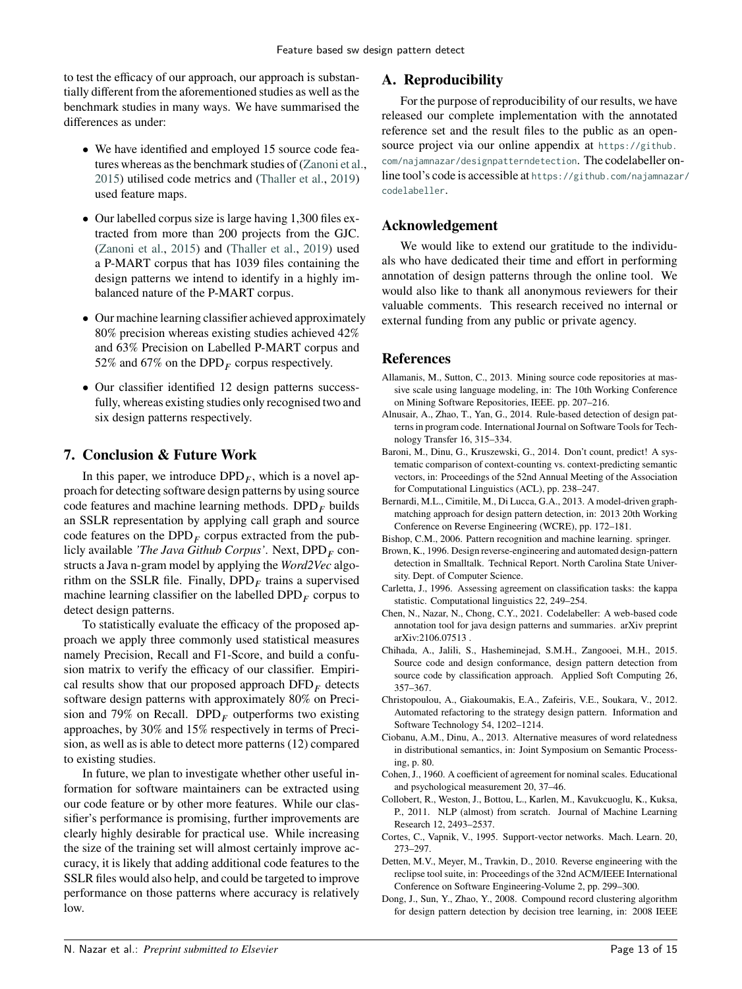to test the efficacy of our approach, our approach is substantially different from the aforementioned studies as well as the benchmark studies in many ways. We have summarised the differences as under:

- We have identified and employed 15 source code features whereas as the benchmark studies of [\(Zanoni et al.,](#page-14-3) [2015\)](#page-14-3) utilised code metrics and [\(Thaller et al.,](#page-13-27) [2019\)](#page-13-27) used feature maps.
- Our labelled corpus size is large having 1,300 files extracted from more than 200 projects from the GJC. [\(Zanoni et al.,](#page-14-3) [2015\)](#page-14-3) and [\(Thaller et al.,](#page-13-27) [2019\)](#page-13-27) used a P-MART corpus that has 1039 files containing the design patterns we intend to identify in a highly imbalanced nature of the P-MART corpus.
- Our machine learning classifier achieved approximately 80% precision whereas existing studies achieved 42% and 63% Precision on Labelled P-MART corpus and 52% and 67% on the  $DPD<sub>F</sub>$  corpus respectively.
- Our classifier identified 12 design patterns successfully, whereas existing studies only recognised two and six design patterns respectively.

# <span id="page-12-4"></span>**7. Conclusion & Future Work**

In this paper, we introduce  $DPD<sub>F</sub>$ , which is a novel approach for detecting software design patterns by using source code features and machine learning methods. DPD*<sup>𝐹</sup>* builds an SSLR representation by applying call graph and source code features on the DPD*<sup>𝐹</sup>* corpus extracted from the publicly available *'The Java Github Corpus'*. Next, DPD*<sup>𝐹</sup>* constructs a Java n-gram model by applying the *Word2Vec* algorithm on the SSLR file. Finally,  $DPD<sub>F</sub>$  trains a supervised machine learning classifier on the labelled  $DPD<sub>F</sub>$  corpus to detect design patterns.

To statistically evaluate the efficacy of the proposed approach we apply three commonly used statistical measures namely Precision, Recall and F1-Score, and build a confusion matrix to verify the efficacy of our classifier. Empirical results show that our proposed approach  $\text{DFD}_F$  detects software design patterns with approximately 80% on Precision and 79% on Recall.  $DPD<sub>F</sub>$  outperforms two existing approaches, by 30% and 15% respectively in terms of Precision, as well as is able to detect more patterns (12) compared to existing studies.

In future, we plan to investigate whether other useful information for software maintainers can be extracted using our code feature or by other more features. While our classifier's performance is promising, further improvements are clearly highly desirable for practical use. While increasing the size of the training set will almost certainly improve accuracy, it is likely that adding additional code features to the SSLR files would also help, and could be targeted to improve performance on those patterns where accuracy is relatively low.

# **A. Reproducibility**

For the purpose of reproducibility of our results, we have released our complete implementation with the annotated reference set and the result files to the public as an opensource project via our online appendix at [https://github.](https://github.com/najamnazar/designpatterndetection) [com/najamnazar/designpatterndetection](https://github.com/najamnazar/designpatterndetection). The codelabeller online tool's code is accessible at [https://github.com/najamnaza](https://github.com/najamnazar/codelabeller)r/ [codelabeller](https://github.com/najamnazar/codelabeller).

# **Acknowledgement**

We would like to extend our gratitude to the individuals who have dedicated their time and effort in performing annotation of design patterns through the online tool. We would also like to thank all anonymous reviewers for their valuable comments. This research received no internal or external funding from any public or private agency.

# **References**

- <span id="page-12-2"></span>Allamanis, M., Sutton, C., 2013. Mining source code repositories at massive scale using language modeling, in: The 10th Working Conference on Mining Software Repositories, IEEE. pp. 207–216.
- <span id="page-12-13"></span>Alnusair, A., Zhao, T., Yan, G., 2014. Rule-based detection of design patterns in program code. International Journal on Software Tools for Technology Transfer 16, 315–334.
- <span id="page-12-5"></span>Baroni, M., Dinu, G., Kruszewski, G., 2014. Don't count, predict! A systematic comparison of context-counting vs. context-predicting semantic vectors, in: Proceedings of the 52nd Annual Meeting of the Association for Computational Linguistics (ACL), pp. 238–247.
- <span id="page-12-12"></span>Bernardi, M.L., Cimitile, M., Di Lucca, G.A., 2013. A model-driven graphmatching approach for design pattern detection, in: 2013 20th Working Conference on Reverse Engineering (WCRE), pp. 172–181.
- <span id="page-12-9"></span>Bishop, C.M., 2006. Pattern recognition and machine learning. springer.
- <span id="page-12-14"></span>Brown, K., 1996. Design reverse-engineering and automated design-pattern detection in Smalltalk. Technical Report. North Carolina State University. Dept. of Computer Science.
- <span id="page-12-11"></span>Carletta, J., 1996. Assessing agreement on classification tasks: the kappa statistic. Computational linguistics 22, 249–254.
- <span id="page-12-3"></span>Chen, N., Nazar, N., Chong, C.Y., 2021. Codelabeller: A web-based code annotation tool for java design patterns and summaries. arXiv preprint arXiv:2106.07513 .
- <span id="page-12-15"></span>Chihada, A., Jalili, S., Hasheminejad, S.M.H., Zangooei, M.H., 2015. Source code and design conformance, design pattern detection from source code by classification approach. Applied Soft Computing 26, 357–367.
- <span id="page-12-0"></span>Christopoulou, A., Giakoumakis, E.A., Zafeiris, V.E., Soukara, V., 2012. Automated refactoring to the strategy design pattern. Information and Software Technology 54, 1202–1214.
- <span id="page-12-6"></span>Ciobanu, A.M., Dinu, A., 2013. Alternative measures of word relatedness in distributional semantics, in: Joint Symposium on Semantic Processing, p. 80.
- <span id="page-12-10"></span>Cohen, J., 1960. A coefficient of agreement for nominal scales. Educational and psychological measurement 20, 37–46.
- <span id="page-12-7"></span>Collobert, R., Weston, J., Bottou, L., Karlen, M., Kavukcuoglu, K., Kuksa, P., 2011. NLP (almost) from scratch. Journal of Machine Learning Research 12, 2493–2537.
- <span id="page-12-8"></span>Cortes, C., Vapnik, V., 1995. Support-vector networks. Mach. Learn. 20, 273–297.
- <span id="page-12-1"></span>Detten, M.V., Meyer, M., Travkin, D., 2010. Reverse engineering with the reclipse tool suite, in: Proceedings of the 32nd ACM/IEEE International Conference on Software Engineering-Volume 2, pp. 299–300.
- <span id="page-12-16"></span>Dong, J., Sun, Y., Zhao, Y., 2008. Compound record clustering algorithm for design pattern detection by decision tree learning, in: 2008 IEEE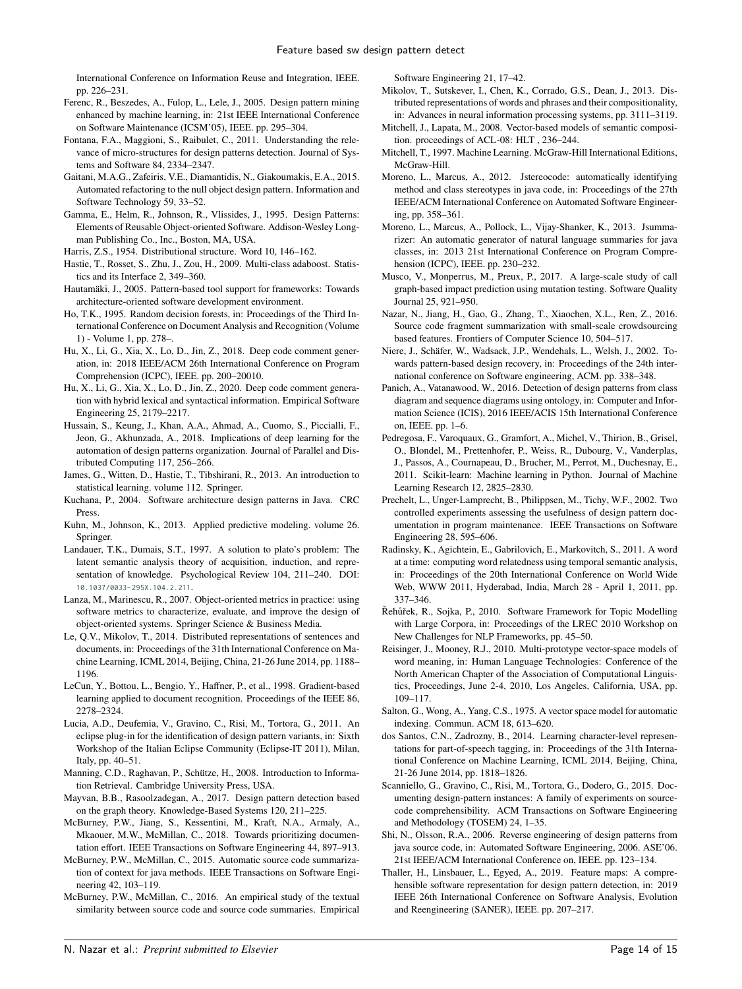International Conference on Information Reuse and Integration, IEEE. pp. 226–231.

- <span id="page-13-41"></span>Ferenc, R., Beszedes, A., Fulop, L., Lele, J., 2005. Design pattern mining enhanced by machine learning, in: 21st IEEE International Conference on Software Maintenance (ICSM'05), IEEE. pp. 295–304.
- <span id="page-13-14"></span>Fontana, F.A., Maggioni, S., Raibulet, C., 2011. Understanding the relevance of micro-structures for design patterns detection. Journal of Systems and Software 84, 2334–2347.
- <span id="page-13-5"></span>Gaitani, M.A.G., Zafeiris, V.E., Diamantidis, N., Giakoumakis, E.A., 2015. Automated refactoring to the null object design pattern. Information and Software Technology 59, 33–52.
- <span id="page-13-2"></span>Gamma, E., Helm, R., Johnson, R., Vlissides, J., 1995. Design Patterns: Elements of Reusable Object-oriented Software. Addison-Wesley Longman Publishing Co., Inc., Boston, MA, USA.
- <span id="page-13-17"></span>Harris, Z.S., 1954. Distributional structure. Word 10, 146–162.
- <span id="page-13-32"></span>Hastie, T., Rosset, S., Zhu, J., Zou, H., 2009. Multi-class adaboost. Statistics and its Interface 2, 349–360.
- <span id="page-13-7"></span>Hautamäki, J., 2005. Pattern-based tool support for frameworks: Towards architecture-oriented software development environment.
- <span id="page-13-25"></span>Ho, T.K., 1995. Random decision forests, in: Proceedings of the Third International Conference on Document Analysis and Recognition (Volume 1) - Volume 1, pp. 278–.
- <span id="page-13-9"></span>Hu, X., Li, G., Xia, X., Lo, D., Jin, Z., 2018. Deep code comment generation, in: 2018 IEEE/ACM 26th International Conference on Program Comprehension (ICPC), IEEE. pp. 200–20010.
- <span id="page-13-28"></span>Hu, X., Li, G., Xia, X., Lo, D., Jin, Z., 2020. Deep code comment generation with hybrid lexical and syntactical information. Empirical Software Engineering 25, 2179–2217.
- <span id="page-13-42"></span>Hussain, S., Keung, J., Khan, A.A., Ahmad, A., Cuomo, S., Piccialli, F., Jeon, G., Akhunzada, A., 2018. Implications of deep learning for the automation of design patterns organization. Journal of Parallel and Distributed Computing 117, 256–266.
- <span id="page-13-34"></span>James, G., Witten, D., Hastie, T., Tibshirani, R., 2013. An introduction to statistical learning. volume 112. Springer.
- <span id="page-13-1"></span>Kuchana, P., 2004. Software architecture design patterns in Java. CRC Press.
- <span id="page-13-35"></span>Kuhn, M., Johnson, K., 2013. Applied predictive modeling. volume 26. Springer.
- <span id="page-13-18"></span>Landauer, T.K., Dumais, S.T., 1997. A solution to plato's problem: The latent semantic analysis theory of acquisition, induction, and representation of knowledge. Psychological Review 104, 211–240. DOI: <10.1037/0033-295X.104.2.211>.
- <span id="page-13-40"></span>Lanza, M., Marinescu, R., 2007. Object-oriented metrics in practice: using software metrics to characterize, evaluate, and improve the design of object-oriented systems. Springer Science & Business Media.
- <span id="page-13-22"></span>Le, Q.V., Mikolov, T., 2014. Distributed representations of sentences and documents, in: Proceedings of the 31th International Conference on Machine Learning, ICML 2014, Beijing, China, 21-26 June 2014, pp. 1188– 1196.
- <span id="page-13-36"></span>LeCun, Y., Bottou, L., Bengio, Y., Haffner, P., et al., 1998. Gradient-based learning applied to document recognition. Proceedings of the IEEE 86, 2278–2324.
- <span id="page-13-6"></span>Lucia, A.D., Deufemia, V., Gravino, C., Risi, M., Tortora, G., 2011. An eclipse plug-in for the identification of design pattern variants, in: Sixth Workshop of the Italian Eclipse Community (Eclipse-IT 2011), Milan, Italy, pp. 40–51.
- <span id="page-13-26"></span>Manning, C.D., Raghavan, P., Schütze, H., 2008. Introduction to Information Retrieval. Cambridge University Press, USA.
- <span id="page-13-0"></span>Mayvan, B.B., Rasoolzadegan, A., 2017. Design pattern detection based on the graph theory. Knowledge-Based Systems 120, 211–225.
- <span id="page-13-15"></span>McBurney, P.W., Jiang, S., Kessentini, M., Kraft, N.A., Armaly, A., Mkaouer, M.W., McMillan, C., 2018. Towards prioritizing documentation effort. IEEE Transactions on Software Engineering 44, 897–913.
- <span id="page-13-10"></span>McBurney, P.W., McMillan, C., 2015. Automatic source code summarization of context for java methods. IEEE Transactions on Software Engineering 42, 103–119.
- <span id="page-13-11"></span>McBurney, P.W., McMillan, C., 2016. An empirical study of the textual similarity between source code and source code summaries. Empirical

Software Engineering 21, 17–42.

- <span id="page-13-19"></span>Mikolov, T., Sutskever, I., Chen, K., Corrado, G.S., Dean, J., 2013. Distributed representations of words and phrases and their compositionality, in: Advances in neural information processing systems, pp. 3111–3119.
- <span id="page-13-30"></span>Mitchell, J., Lapata, M., 2008. Vector-based models of semantic composition. proceedings of ACL-08: HLT , 236–244.
- <span id="page-13-24"></span>Mitchell, T., 1997. Machine Learning. McGraw-Hill International Editions, McGraw-Hill.
- <span id="page-13-8"></span>Moreno, L., Marcus, A., 2012. Jstereocode: automatically identifying method and class stereotypes in java code, in: Proceedings of the 27th IEEE/ACM International Conference on Automated Software Engineering, pp. 358–361.
- <span id="page-13-12"></span>Moreno, L., Marcus, A., Pollock, L., Vijay-Shanker, K., 2013. Jsummarizer: An automatic generator of natural language summaries for java classes, in: 2013 21st International Conference on Program Comprehension (ICPC), IEEE. pp. 230–232.
- <span id="page-13-29"></span>Musco, V., Monperrus, M., Preux, P., 2017. A large-scale study of call graph-based impact prediction using mutation testing. Software Quality Journal 25, 921–950.
- <span id="page-13-13"></span>Nazar, N., Jiang, H., Gao, G., Zhang, T., Xiaochen, X.L., Ren, Z., 2016. Source code fragment summarization with small-scale crowdsourcing based features. Frontiers of Computer Science 10, 504–517.
- <span id="page-13-37"></span>Niere, J., Schäfer, W., Wadsack, J.P., Wendehals, L., Welsh, J., 2002. Towards pattern-based design recovery, in: Proceedings of the 24th international conference on Software engineering, ACM. pp. 338–348.
- <span id="page-13-38"></span>Panich, A., Vatanawood, W., 2016. Detection of design patterns from class diagram and sequence diagrams using ontology, in: Computer and Information Science (ICIS), 2016 IEEE/ACIS 15th International Conference on, IEEE. pp. 1–6.
- <span id="page-13-33"></span>Pedregosa, F., Varoquaux, G., Gramfort, A., Michel, V., Thirion, B., Grisel, O., Blondel, M., Prettenhofer, P., Weiss, R., Dubourg, V., Vanderplas, J., Passos, A., Cournapeau, D., Brucher, M., Perrot, M., Duchesnay, E., 2011. Scikit-learn: Machine learning in Python. Journal of Machine Learning Research 12, 2825–2830.
- <span id="page-13-3"></span>Prechelt, L., Unger-Lamprecht, B., Philippsen, M., Tichy, W.F., 2002. Two controlled experiments assessing the usefulness of design pattern documentation in program maintenance. IEEE Transactions on Software Engineering 28, 595–606.
- <span id="page-13-20"></span>Radinsky, K., Agichtein, E., Gabrilovich, E., Markovitch, S., 2011. A word at a time: computing word relatedness using temporal semantic analysis, in: Proceedings of the 20th International Conference on World Wide Web, WWW 2011, Hyderabad, India, March 28 - April 1, 2011, pp. 337–346.
- <span id="page-13-31"></span>Řehůřek, R., Sojka, P., 2010. Software Framework for Topic Modelling with Large Corpora, in: Proceedings of the LREC 2010 Workshop on New Challenges for NLP Frameworks, pp. 45–50.
- <span id="page-13-21"></span>Reisinger, J., Mooney, R.J., 2010. Multi-prototype vector-space models of word meaning, in: Human Language Technologies: Conference of the North American Chapter of the Association of Computational Linguistics, Proceedings, June 2-4, 2010, Los Angeles, California, USA, pp. 109–117.
- <span id="page-13-16"></span>Salton, G., Wong, A., Yang, C.S., 1975. A vector space model for automatic indexing. Commun. ACM 18, 613–620.
- <span id="page-13-23"></span>dos Santos, C.N., Zadrozny, B., 2014. Learning character-level representations for part-of-speech tagging, in: Proceedings of the 31th International Conference on Machine Learning, ICML 2014, Beijing, China, 21-26 June 2014, pp. 1818–1826.
- <span id="page-13-4"></span>Scanniello, G., Gravino, C., Risi, M., Tortora, G., Dodero, G., 2015. Documenting design-pattern instances: A family of experiments on sourcecode comprehensibility. ACM Transactions on Software Engineering and Methodology (TOSEM) 24, 1–35.
- <span id="page-13-39"></span>Shi, N., Olsson, R.A., 2006. Reverse engineering of design patterns from java source code, in: Automated Software Engineering, 2006. ASE'06. 21st IEEE/ACM International Conference on, IEEE. pp. 123–134.
- <span id="page-13-27"></span>Thaller, H., Linsbauer, L., Egyed, A., 2019. Feature maps: A comprehensible software representation for design pattern detection, in: 2019 IEEE 26th International Conference on Software Analysis, Evolution and Reengineering (SANER), IEEE. pp. 207–217.